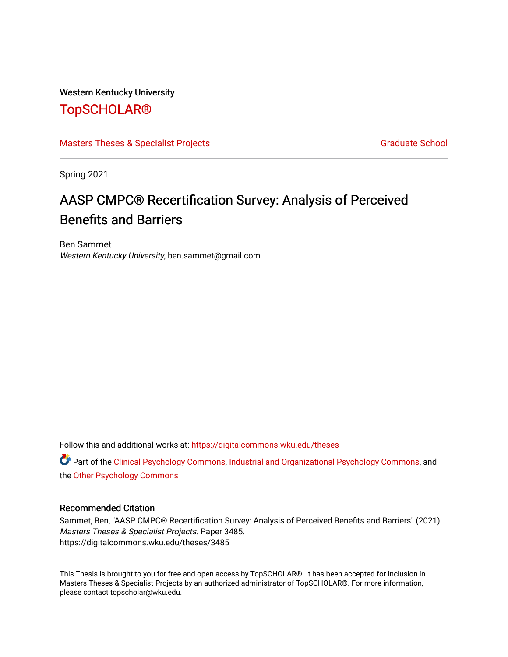#### Western Kentucky University

## [TopSCHOLAR®](https://digitalcommons.wku.edu/)

#### [Masters Theses & Specialist Projects](https://digitalcommons.wku.edu/theses) [Graduate School](https://digitalcommons.wku.edu/Graduate) Graduate School

Spring 2021

## AASP CMPC® Recertification Survey: Analysis of Perceived Benefits and Barriers

Ben Sammet Western Kentucky University, ben.sammet@gmail.com

Follow this and additional works at: [https://digitalcommons.wku.edu/theses](https://digitalcommons.wku.edu/theses?utm_source=digitalcommons.wku.edu%2Ftheses%2F3485&utm_medium=PDF&utm_campaign=PDFCoverPages) 

Part of the [Clinical Psychology Commons,](http://network.bepress.com/hgg/discipline/406?utm_source=digitalcommons.wku.edu%2Ftheses%2F3485&utm_medium=PDF&utm_campaign=PDFCoverPages) [Industrial and Organizational Psychology Commons,](http://network.bepress.com/hgg/discipline/412?utm_source=digitalcommons.wku.edu%2Ftheses%2F3485&utm_medium=PDF&utm_campaign=PDFCoverPages) and the [Other Psychology Commons](http://network.bepress.com/hgg/discipline/415?utm_source=digitalcommons.wku.edu%2Ftheses%2F3485&utm_medium=PDF&utm_campaign=PDFCoverPages) 

#### Recommended Citation

Sammet, Ben, "AASP CMPC® Recertification Survey: Analysis of Perceived Benefits and Barriers" (2021). Masters Theses & Specialist Projects. Paper 3485. https://digitalcommons.wku.edu/theses/3485

This Thesis is brought to you for free and open access by TopSCHOLAR®. It has been accepted for inclusion in Masters Theses & Specialist Projects by an authorized administrator of TopSCHOLAR®. For more information, please contact topscholar@wku.edu.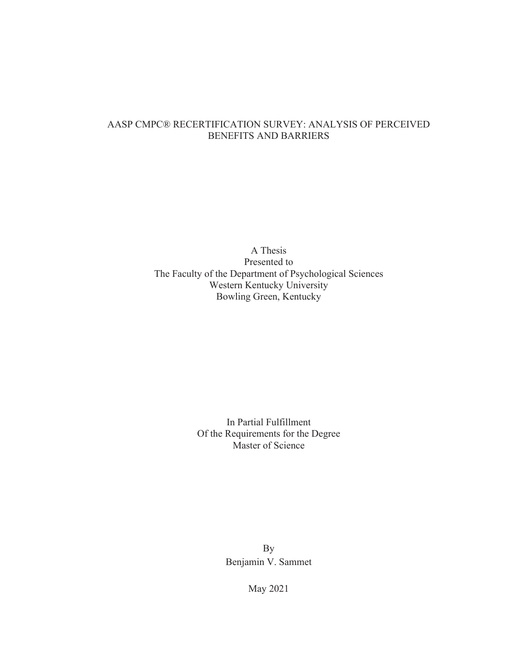## AASP CMPC® RECERTIFICATION SURVEY: ANALYSIS OF PERCEIVED BENEFITS AND BARRIERS

A Thesis Presented to The Faculty of the Department of Psychological Sciences Western Kentucky University Bowling Green, Kentucky

> In Partial Fulfillment Of the Requirements for the Degree Master of Science

> > By Benjamin V. Sammet

> > > May 2021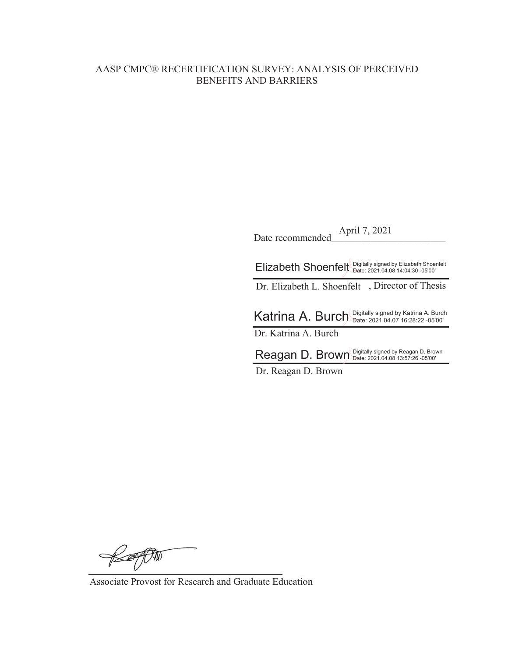### AASP CMPC® RECERTIFICATION SURVEY: ANALYSIS OF PERCEIVED BENEFITS AND BARRIERS

Date recommended April 7, 2021

Elizabeth Shoenfelt Digitally signed by Elizabeth Shoenfelt

Dr. Elizabeth L. Shoenfelt , Director of Thesis

Katrina A. Burch Digitally signed by Katrina A. Burch Dr. Katrina A. Burch

 $\mathsf{Reagan}$  D. Brown Digitally signed by Reagan D. Brown

Dr. Reagan D. Brown

KAPT

Associate Provost for Research and Graduate Education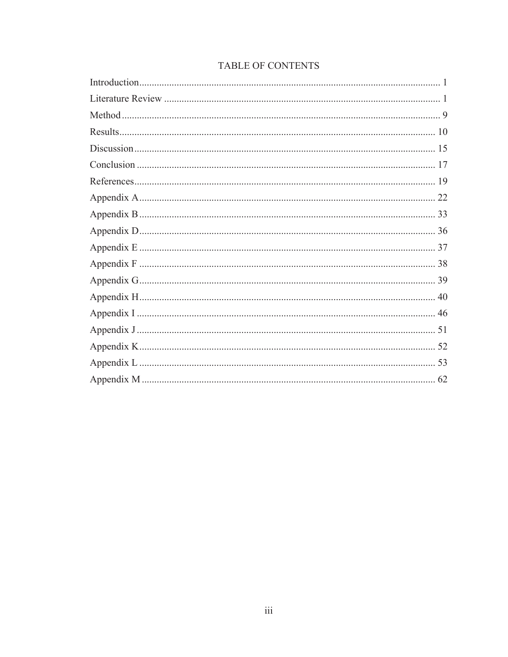## TABLE OF CONTENTS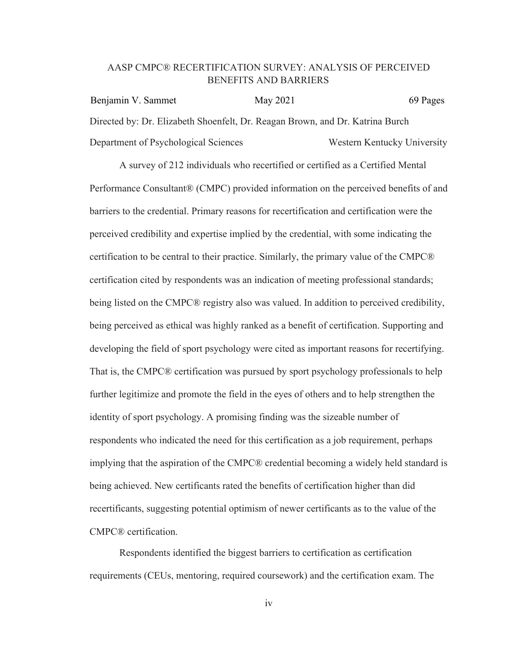#### AASP CMPC® RECERTIFICATION SURVEY: ANALYSIS OF PERCEIVED BENEFITS AND BARRIERS

Directed by: Dr. Elizabeth Shoenfelt, Dr. Reagan Brown, and Dr. Katrina Burch Department of Psychological Sciences Western Kentucky University Benjamin V. Sammet May 2021 69 Pages

A survey of 212 individuals who recertified or certified as a Certified Mental Performance Consultant® (CMPC) provided information on the perceived benefits of and barriers to the credential. Primary reasons for recertification and certification were the perceived credibility and expertise implied by the credential, with some indicating the certification to be central to their practice. Similarly, the primary value of the CMPC® certification cited by respondents was an indication of meeting professional standards; being listed on the CMPC® registry also was valued. In addition to perceived credibility, being perceived as ethical was highly ranked as a benefit of certification. Supporting and developing the field of sport psychology were cited as important reasons for recertifying. That is, the CMPC® certification was pursued by sport psychology professionals to help further legitimize and promote the field in the eyes of others and to help strengthen the identity of sport psychology. A promising finding was the sizeable number of respondents who indicated the need for this certification as a job requirement, perhaps implying that the aspiration of the CMPC® credential becoming a widely held standard is being achieved. New certificants rated the benefits of certification higher than did recertificants, suggesting potential optimism of newer certificants as to the value of the CMPC® certification.

Respondents identified the biggest barriers to certification as certification requirements (CEUs, mentoring, required coursework) and the certification exam. The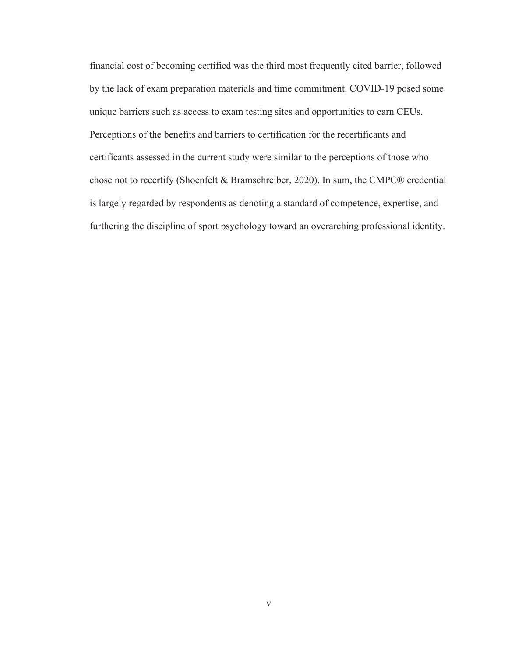financial cost of becoming certified was the third most frequently cited barrier, followed by the lack of exam preparation materials and time commitment. COVID-19 posed some unique barriers such as access to exam testing sites and opportunities to earn CEUs. Perceptions of the benefits and barriers to certification for the recertificants and certificants assessed in the current study were similar to the perceptions of those who chose not to recertify (Shoenfelt & Bramschreiber, 2020). In sum, the CMPC® credential is largely regarded by respondents as denoting a standard of competence, expertise, and furthering the discipline of sport psychology toward an overarching professional identity.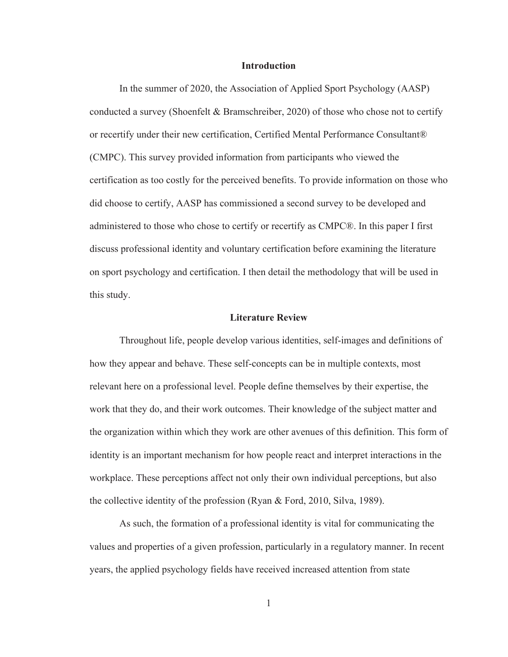#### **Introduction**

 In the summer of 2020, the Association of Applied Sport Psychology (AASP) conducted a survey (Shoenfelt & Bramschreiber, 2020) of those who chose not to certify or recertify under their new certification, Certified Mental Performance Consultant® (CMPC). This survey provided information from participants who viewed the certification as too costly for the perceived benefits. To provide information on those who did choose to certify, AASP has commissioned a second survey to be developed and administered to those who chose to certify or recertify as CMPC®. In this paper I first discuss professional identity and voluntary certification before examining the literature on sport psychology and certification. I then detail the methodology that will be used in this study.

#### **Literature Review**

Throughout life, people develop various identities, self-images and definitions of how they appear and behave. These self-concepts can be in multiple contexts, most relevant here on a professional level. People define themselves by their expertise, the work that they do, and their work outcomes. Their knowledge of the subject matter and the organization within which they work are other avenues of this definition. This form of identity is an important mechanism for how people react and interpret interactions in the workplace. These perceptions affect not only their own individual perceptions, but also the collective identity of the profession (Ryan & Ford, 2010, Silva, 1989).

As such, the formation of a professional identity is vital for communicating the values and properties of a given profession, particularly in a regulatory manner. In recent years, the applied psychology fields have received increased attention from state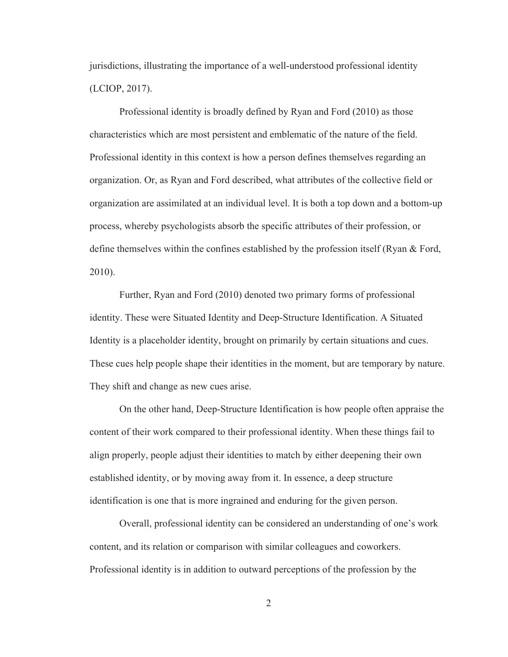jurisdictions, illustrating the importance of a well-understood professional identity (LCIOP, 2017).

Professional identity is broadly defined by Ryan and Ford (2010) as those characteristics which are most persistent and emblematic of the nature of the field. Professional identity in this context is how a person defines themselves regarding an organization. Or, as Ryan and Ford described, what attributes of the collective field or organization are assimilated at an individual level. It is both a top down and a bottom-up process, whereby psychologists absorb the specific attributes of their profession, or define themselves within the confines established by the profession itself (Ryan & Ford, 2010).

Further, Ryan and Ford (2010) denoted two primary forms of professional identity. These were Situated Identity and Deep-Structure Identification. A Situated Identity is a placeholder identity, brought on primarily by certain situations and cues. These cues help people shape their identities in the moment, but are temporary by nature. They shift and change as new cues arise.

On the other hand, Deep-Structure Identification is how people often appraise the content of their work compared to their professional identity. When these things fail to align properly, people adjust their identities to match by either deepening their own established identity, or by moving away from it. In essence, a deep structure identification is one that is more ingrained and enduring for the given person.

Overall, professional identity can be considered an understanding of one's work content, and its relation or comparison with similar colleagues and coworkers. Professional identity is in addition to outward perceptions of the profession by the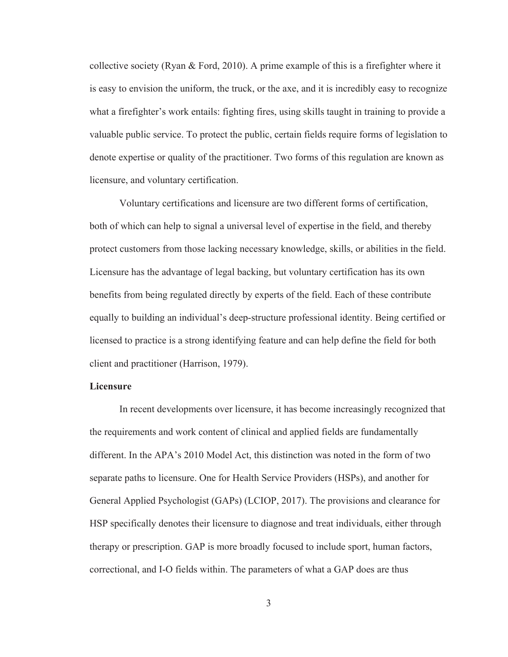collective society (Ryan & Ford, 2010). A prime example of this is a firefighter where it is easy to envision the uniform, the truck, or the axe, and it is incredibly easy to recognize what a firefighter's work entails: fighting fires, using skills taught in training to provide a valuable public service. To protect the public, certain fields require forms of legislation to denote expertise or quality of the practitioner. Two forms of this regulation are known as licensure, and voluntary certification.

Voluntary certifications and licensure are two different forms of certification, both of which can help to signal a universal level of expertise in the field, and thereby protect customers from those lacking necessary knowledge, skills, or abilities in the field. Licensure has the advantage of legal backing, but voluntary certification has its own benefits from being regulated directly by experts of the field. Each of these contribute equally to building an individual's deep-structure professional identity. Being certified or licensed to practice is a strong identifying feature and can help define the field for both client and practitioner (Harrison, 1979).

#### **Licensure**

 In recent developments over licensure, it has become increasingly recognized that the requirements and work content of clinical and applied fields are fundamentally different. In the APA's 2010 Model Act, this distinction was noted in the form of two separate paths to licensure. One for Health Service Providers (HSPs), and another for General Applied Psychologist (GAPs) (LCIOP, 2017). The provisions and clearance for HSP specifically denotes their licensure to diagnose and treat individuals, either through therapy or prescription. GAP is more broadly focused to include sport, human factors, correctional, and I-O fields within. The parameters of what a GAP does are thus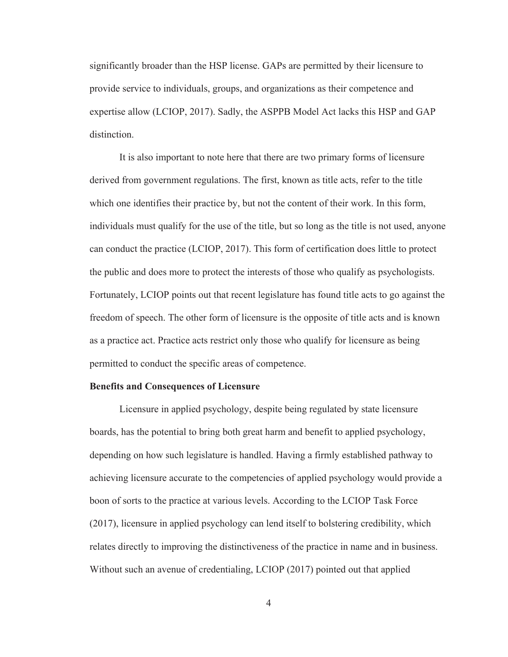significantly broader than the HSP license. GAPs are permitted by their licensure to provide service to individuals, groups, and organizations as their competence and expertise allow (LCIOP, 2017). Sadly, the ASPPB Model Act lacks this HSP and GAP distinction.

It is also important to note here that there are two primary forms of licensure derived from government regulations. The first, known as title acts, refer to the title which one identifies their practice by, but not the content of their work. In this form, individuals must qualify for the use of the title, but so long as the title is not used, anyone can conduct the practice (LCIOP, 2017). This form of certification does little to protect the public and does more to protect the interests of those who qualify as psychologists. Fortunately, LCIOP points out that recent legislature has found title acts to go against the freedom of speech. The other form of licensure is the opposite of title acts and is known as a practice act. Practice acts restrict only those who qualify for licensure as being permitted to conduct the specific areas of competence.

#### **Benefits and Consequences of Licensure**

 Licensure in applied psychology, despite being regulated by state licensure boards, has the potential to bring both great harm and benefit to applied psychology, depending on how such legislature is handled. Having a firmly established pathway to achieving licensure accurate to the competencies of applied psychology would provide a boon of sorts to the practice at various levels. According to the LCIOP Task Force (2017), licensure in applied psychology can lend itself to bolstering credibility, which relates directly to improving the distinctiveness of the practice in name and in business. Without such an avenue of credentialing, LCIOP (2017) pointed out that applied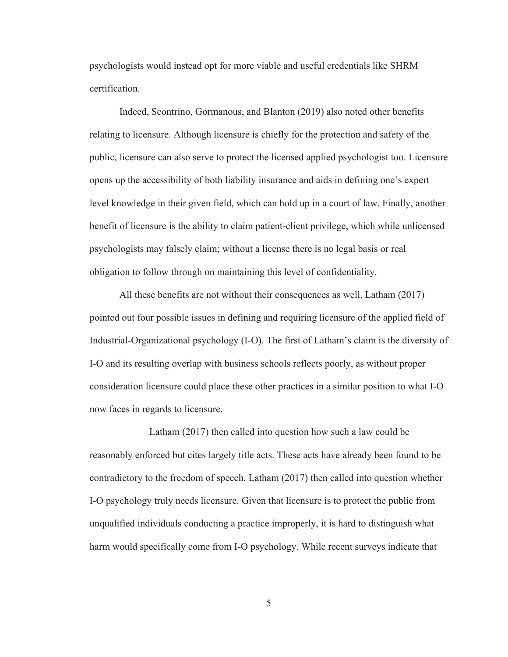psychologists would instead opt for more viable and useful credentials like SHRM certification.

 Indeed, Scontrino, Gormanous, and Blanton (2019) also noted other benefits relating to licensure. Although licensure is chiefly for the protection and safety of the public, licensure can also serve to protect the licensed applied psychologist too. Licensure opens up the accessibility of both liability insurance and aids in defining one's expert level knowledge in their given field, which can hold up in a court of law. Finally, another benefit of licensure is the ability to claim patient-client privilege, which while unlicensed psychologists may falsely claim; without a license there is no legal basis or real obligation to follow through on maintaining this level of confidentiality.

 All these benefits are not without their consequences as well. Latham (2017) pointed out four possible issues in defining and requiring licensure of the applied field of Industrial-Organizational psychology (I-O). The first of Latham's claim is the diversity of I-O and its resulting overlap with business schools reflects poorly, as without proper consideration licensure could place these other practices in a similar position to what I-O now faces in regards to licensure.

 Latham (2017) then called into question how such a law could be reasonably enforced but cites largely title acts. These acts have already been found to be contradictory to the freedom of speech. Latham (2017) then called into question whether I-O psychology truly needs licensure. Given that licensure is to protect the public from unqualified individuals conducting a practice improperly, it is hard to distinguish what harm would specifically come from I-O psychology. While recent surveys indicate that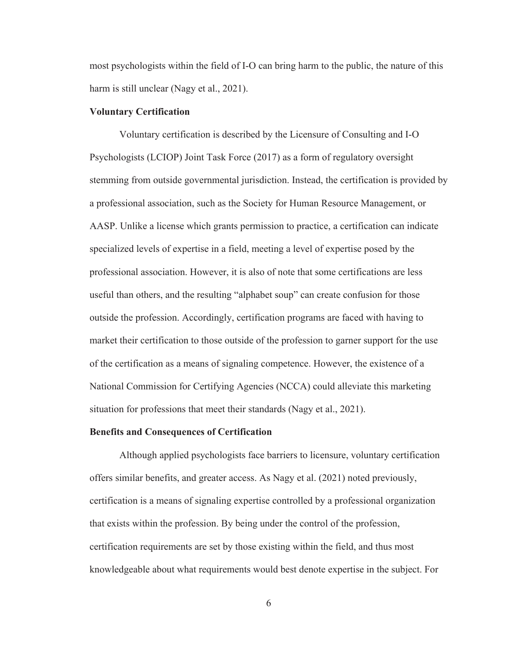most psychologists within the field of I-O can bring harm to the public, the nature of this harm is still unclear (Nagy et al., 2021).

#### **Voluntary Certification**

Voluntary certification is described by the Licensure of Consulting and I-O Psychologists (LCIOP) Joint Task Force (2017) as a form of regulatory oversight stemming from outside governmental jurisdiction. Instead, the certification is provided by a professional association, such as the Society for Human Resource Management, or AASP. Unlike a license which grants permission to practice, a certification can indicate specialized levels of expertise in a field, meeting a level of expertise posed by the professional association. However, it is also of note that some certifications are less useful than others, and the resulting "alphabet soup" can create confusion for those outside the profession. Accordingly, certification programs are faced with having to market their certification to those outside of the profession to garner support for the use of the certification as a means of signaling competence. However, the existence of a National Commission for Certifying Agencies (NCCA) could alleviate this marketing situation for professions that meet their standards (Nagy et al., 2021).

#### **Benefits and Consequences of Certification**

Although applied psychologists face barriers to licensure, voluntary certification offers similar benefits, and greater access. As Nagy et al. (2021) noted previously, certification is a means of signaling expertise controlled by a professional organization that exists within the profession. By being under the control of the profession, certification requirements are set by those existing within the field, and thus most knowledgeable about what requirements would best denote expertise in the subject. For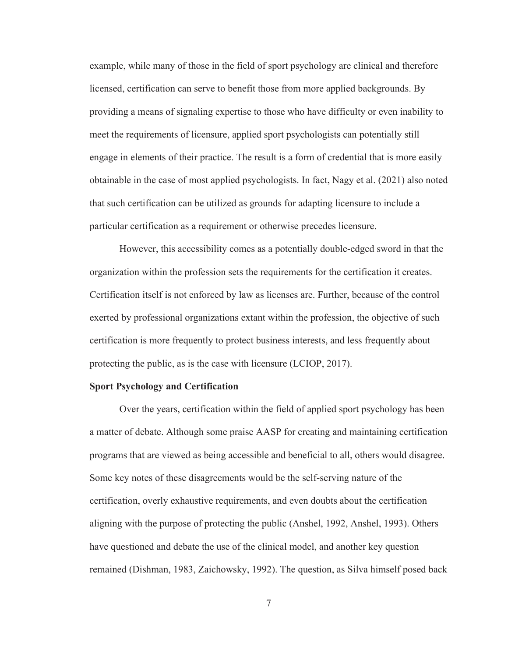example, while many of those in the field of sport psychology are clinical and therefore licensed, certification can serve to benefit those from more applied backgrounds. By providing a means of signaling expertise to those who have difficulty or even inability to meet the requirements of licensure, applied sport psychologists can potentially still engage in elements of their practice. The result is a form of credential that is more easily obtainable in the case of most applied psychologists. In fact, Nagy et al. (2021) also noted that such certification can be utilized as grounds for adapting licensure to include a particular certification as a requirement or otherwise precedes licensure.

However, this accessibility comes as a potentially double-edged sword in that the organization within the profession sets the requirements for the certification it creates. Certification itself is not enforced by law as licenses are. Further, because of the control exerted by professional organizations extant within the profession, the objective of such certification is more frequently to protect business interests, and less frequently about protecting the public, as is the case with licensure (LCIOP, 2017).

#### **Sport Psychology and Certification**

 Over the years, certification within the field of applied sport psychology has been a matter of debate. Although some praise AASP for creating and maintaining certification programs that are viewed as being accessible and beneficial to all, others would disagree. Some key notes of these disagreements would be the self-serving nature of the certification, overly exhaustive requirements, and even doubts about the certification aligning with the purpose of protecting the public (Anshel, 1992, Anshel, 1993). Others have questioned and debate the use of the clinical model, and another key question remained (Dishman, 1983, Zaichowsky, 1992). The question, as Silva himself posed back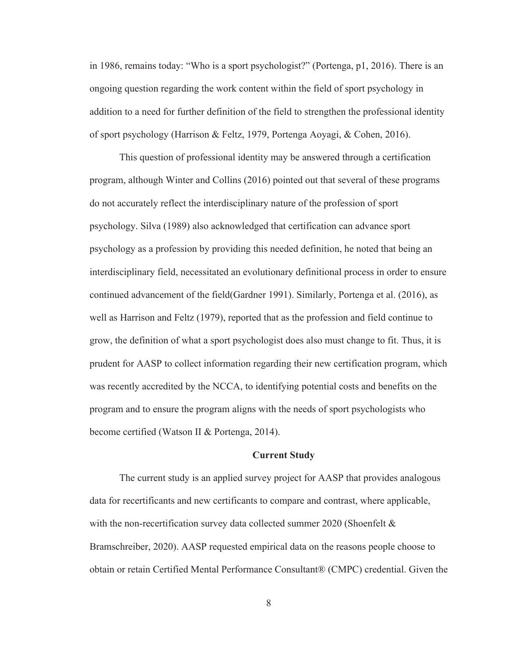in 1986, remains today: "Who is a sport psychologist?" (Portenga, p1, 2016). There is an ongoing question regarding the work content within the field of sport psychology in addition to a need for further definition of the field to strengthen the professional identity of sport psychology (Harrison & Feltz, 1979, Portenga Aoyagi, & Cohen, 2016).

This question of professional identity may be answered through a certification program, although Winter and Collins (2016) pointed out that several of these programs do not accurately reflect the interdisciplinary nature of the profession of sport psychology. Silva (1989) also acknowledged that certification can advance sport psychology as a profession by providing this needed definition, he noted that being an interdisciplinary field, necessitated an evolutionary definitional process in order to ensure continued advancement of the field(Gardner 1991). Similarly, Portenga et al. (2016), as well as Harrison and Feltz (1979), reported that as the profession and field continue to grow, the definition of what a sport psychologist does also must change to fit. Thus, it is prudent for AASP to collect information regarding their new certification program, which was recently accredited by the NCCA, to identifying potential costs and benefits on the program and to ensure the program aligns with the needs of sport psychologists who become certified (Watson II & Portenga, 2014).

#### **Current Study**

The current study is an applied survey project for AASP that provides analogous data for recertificants and new certificants to compare and contrast, where applicable, with the non-recertification survey data collected summer 2020 (Shoenfelt & Bramschreiber, 2020). AASP requested empirical data on the reasons people choose to obtain or retain Certified Mental Performance Consultant® (CMPC) credential. Given the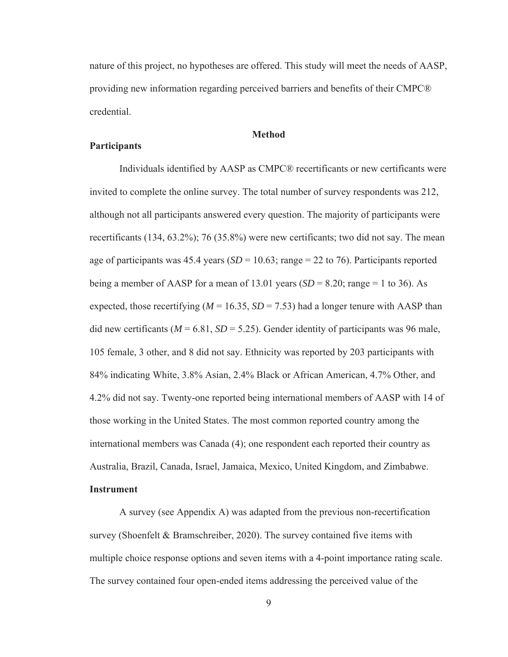nature of this project, no hypotheses are offered. This study will meet the needs of AASP, providing new information regarding perceived barriers and benefits of their CMPC® credential.

#### **Method**

#### **Participants**

Individuals identified by AASP as CMPC® recertificants or new certificants were invited to complete the online survey. The total number of survey respondents was 212, although not all participants answered every question. The majority of participants were recertificants (134, 63.2%); 76 (35.8%) were new certificants; two did not say. The mean age of participants was  $45.4$  years  $(SD = 10.63;$  range  $= 22$  to 76). Participants reported being a member of AASP for a mean of 13.01 years  $(SD = 8.20; \text{range} = 1 \text{ to } 36)$ . As expected, those recertifying  $(M = 16.35, SD = 7.53)$  had a longer tenure with AASP than did new certificants ( $M = 6.81$ ,  $SD = 5.25$ ). Gender identity of participants was 96 male, 105 female, 3 other, and 8 did not say. Ethnicity was reported by 203 participants with 84% indicating White, 3.8% Asian, 2.4% Black or African American, 4.7% Other, and 4.2% did not say. Twenty-one reported being international members of AASP with 14 of those working in the United States. The most common reported country among the international members was Canada (4); one respondent each reported their country as Australia, Brazil, Canada, Israel, Jamaica, Mexico, United Kingdom, and Zimbabwe.

#### **Instrument**

A survey (see Appendix A) was adapted from the previous non-recertification survey (Shoenfelt & Bramschreiber, 2020). The survey contained five items with multiple choice response options and seven items with a 4-point importance rating scale. The survey contained four open-ended items addressing the perceived value of the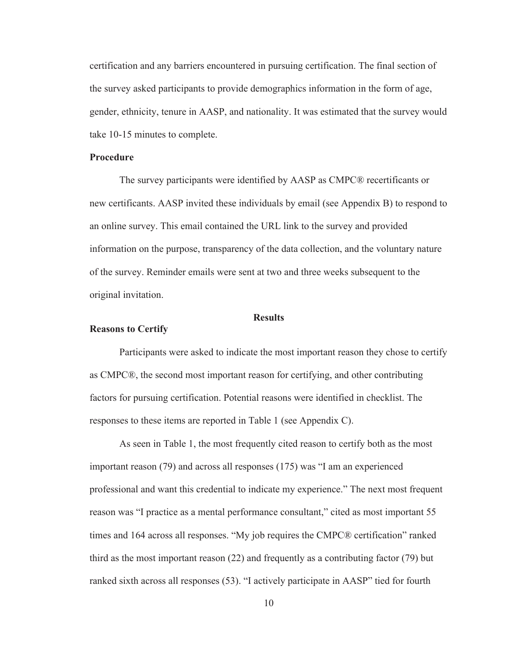certification and any barriers encountered in pursuing certification. The final section of the survey asked participants to provide demographics information in the form of age, gender, ethnicity, tenure in AASP, and nationality. It was estimated that the survey would take 10-15 minutes to complete.

#### **Procedure**

The survey participants were identified by AASP as CMPC® recertificants or new certificants. AASP invited these individuals by email (see Appendix B) to respond to an online survey. This email contained the URL link to the survey and provided information on the purpose, transparency of the data collection, and the voluntary nature of the survey. Reminder emails were sent at two and three weeks subsequent to the original invitation.

#### **Results**

#### **Reasons to Certify**

Participants were asked to indicate the most important reason they chose to certify as CMPC®, the second most important reason for certifying, and other contributing factors for pursuing certification. Potential reasons were identified in checklist. The responses to these items are reported in Table 1 (see Appendix C).

As seen in Table 1, the most frequently cited reason to certify both as the most important reason (79) and across all responses (175) was "I am an experienced professional and want this credential to indicate my experience." The next most frequent reason was "I practice as a mental performance consultant," cited as most important 55 times and 164 across all responses. "My job requires the CMPC® certification" ranked third as the most important reason (22) and frequently as a contributing factor (79) but ranked sixth across all responses (53). "I actively participate in AASP" tied for fourth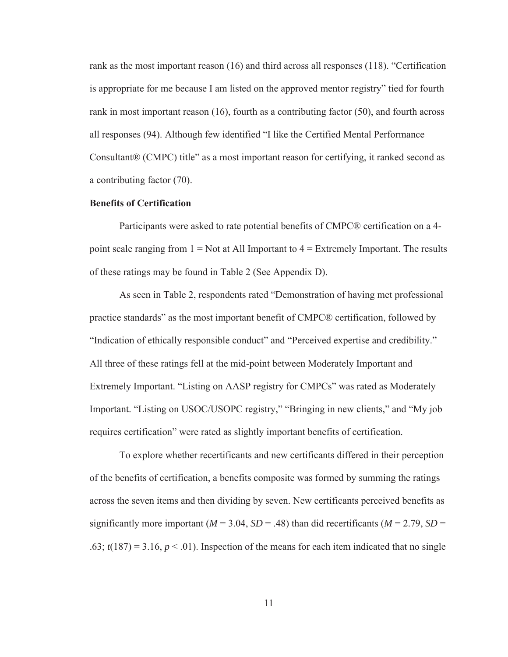rank as the most important reason (16) and third across all responses (118). "Certification is appropriate for me because I am listed on the approved mentor registry" tied for fourth rank in most important reason (16), fourth as a contributing factor (50), and fourth across all responses (94). Although few identified "I like the Certified Mental Performance Consultant® (CMPC) title" as a most important reason for certifying, it ranked second as a contributing factor (70).

#### **Benefits of Certification**

 Participants were asked to rate potential benefits of CMPC® certification on a 4 point scale ranging from  $1 = Not$  at All Important to  $4 = Extremely$  Important. The results of these ratings may be found in Table 2 (See Appendix D).

 As seen in Table 2, respondents rated "Demonstration of having met professional practice standards" as the most important benefit of CMPC® certification, followed by "Indication of ethically responsible conduct" and "Perceived expertise and credibility." All three of these ratings fell at the mid-point between Moderately Important and Extremely Important. "Listing on AASP registry for CMPCs" was rated as Moderately Important. "Listing on USOC/USOPC registry," "Bringing in new clients," and "My job requires certification" were rated as slightly important benefits of certification.

 To explore whether recertificants and new certificants differed in their perception of the benefits of certification, a benefits composite was formed by summing the ratings across the seven items and then dividing by seven. New certificants perceived benefits as significantly more important ( $M = 3.04$ ,  $SD = .48$ ) than did recertificants ( $M = 2.79$ ,  $SD =$ .63;  $t(187) = 3.16$ ,  $p < .01$ ). Inspection of the means for each item indicated that no single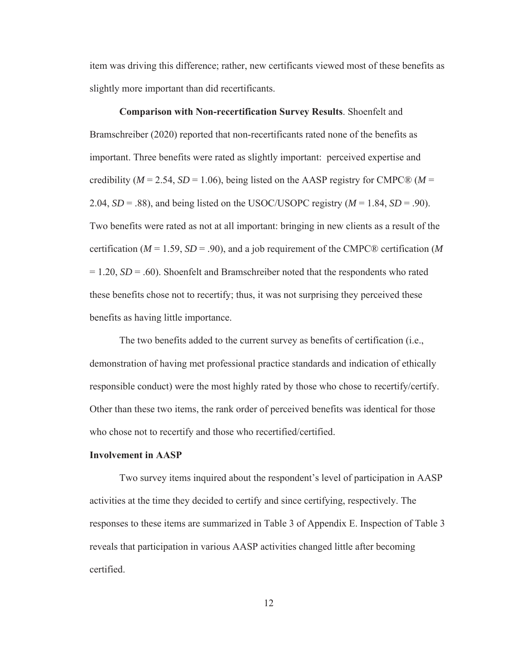item was driving this difference; rather, new certificants viewed most of these benefits as slightly more important than did recertificants.

 **Comparison with Non-recertification Survey Results**. Shoenfelt and Bramschreiber (2020) reported that non-recertificants rated none of the benefits as important. Three benefits were rated as slightly important: perceived expertise and credibility ( $M = 2.54$ ,  $SD = 1.06$ ), being listed on the AASP registry for CMPC® ( $M =$ 2.04,  $SD = .88$ ), and being listed on the USOC/USOPC registry  $(M = 1.84, SD = .90)$ . Two benefits were rated as not at all important: bringing in new clients as a result of the certification (*M* = 1.59, *SD* = .90), and a job requirement of the CMPC® certification (*M* = 1.20, *SD* = .60). Shoenfelt and Bramschreiber noted that the respondents who rated these benefits chose not to recertify; thus, it was not surprising they perceived these benefits as having little importance.

 The two benefits added to the current survey as benefits of certification (i.e., demonstration of having met professional practice standards and indication of ethically responsible conduct) were the most highly rated by those who chose to recertify/certify. Other than these two items, the rank order of perceived benefits was identical for those who chose not to recertify and those who recertified/certified.

#### **Involvement in AASP**

 Two survey items inquired about the respondent's level of participation in AASP activities at the time they decided to certify and since certifying, respectively. The responses to these items are summarized in Table 3 of Appendix E. Inspection of Table 3 reveals that participation in various AASP activities changed little after becoming certified.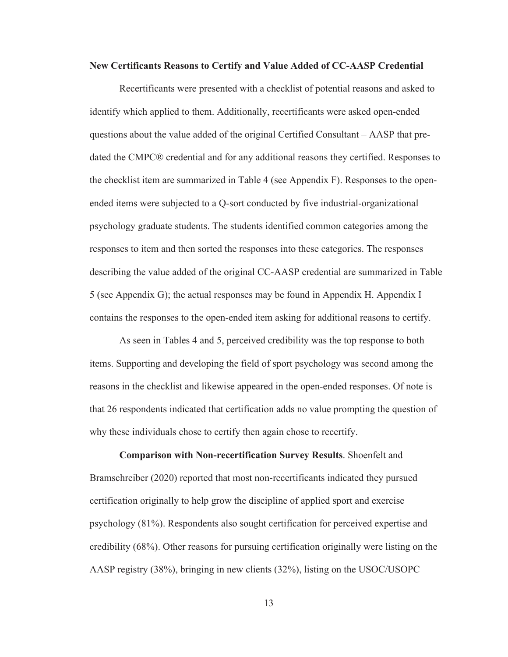#### **New Certificants Reasons to Certify and Value Added of CC-AASP Credential**

Recertificants were presented with a checklist of potential reasons and asked to identify which applied to them. Additionally, recertificants were asked open-ended questions about the value added of the original Certified Consultant – AASP that predated the CMPC® credential and for any additional reasons they certified. Responses to the checklist item are summarized in Table 4 (see Appendix F). Responses to the openended items were subjected to a Q-sort conducted by five industrial-organizational psychology graduate students. The students identified common categories among the responses to item and then sorted the responses into these categories. The responses describing the value added of the original CC-AASP credential are summarized in Table 5 (see Appendix G); the actual responses may be found in Appendix H. Appendix I contains the responses to the open-ended item asking for additional reasons to certify.

 As seen in Tables 4 and 5, perceived credibility was the top response to both items. Supporting and developing the field of sport psychology was second among the reasons in the checklist and likewise appeared in the open-ended responses. Of note is that 26 respondents indicated that certification adds no value prompting the question of why these individuals chose to certify then again chose to recertify.

 **Comparison with Non-recertification Survey Results**. Shoenfelt and Bramschreiber (2020) reported that most non-recertificants indicated they pursued certification originally to help grow the discipline of applied sport and exercise psychology (81%). Respondents also sought certification for perceived expertise and credibility (68%). Other reasons for pursuing certification originally were listing on the AASP registry (38%), bringing in new clients (32%), listing on the USOC/USOPC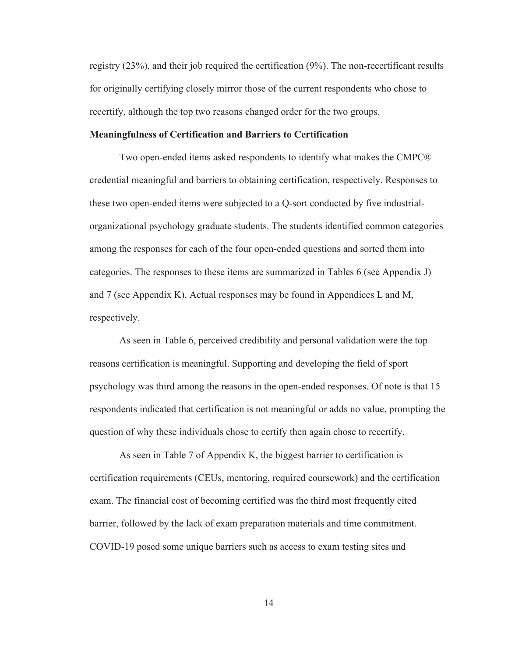registry (23%), and their job required the certification (9%). The non-recertificant results for originally certifying closely mirror those of the current respondents who chose to recertify, although the top two reasons changed order for the two groups.

#### **Meaningfulness of Certification and Barriers to Certification**

Two open-ended items asked respondents to identify what makes the CMPC® credential meaningful and barriers to obtaining certification, respectively. Responses to these two open-ended items were subjected to a Q-sort conducted by five industrialorganizational psychology graduate students. The students identified common categories among the responses for each of the four open-ended questions and sorted them into categories. The responses to these items are summarized in Tables 6 (see Appendix J) and 7 (see Appendix K). Actual responses may be found in Appendices L and M, respectively.

 As seen in Table 6, perceived credibility and personal validation were the top reasons certification is meaningful. Supporting and developing the field of sport psychology was third among the reasons in the open-ended responses. Of note is that 15 respondents indicated that certification is not meaningful or adds no value, prompting the question of why these individuals chose to certify then again chose to recertify.

 As seen in Table 7 of Appendix K, the biggest barrier to certification is certification requirements (CEUs, mentoring, required coursework) and the certification exam. The financial cost of becoming certified was the third most frequently cited barrier, followed by the lack of exam preparation materials and time commitment. COVID-19 posed some unique barriers such as access to exam testing sites and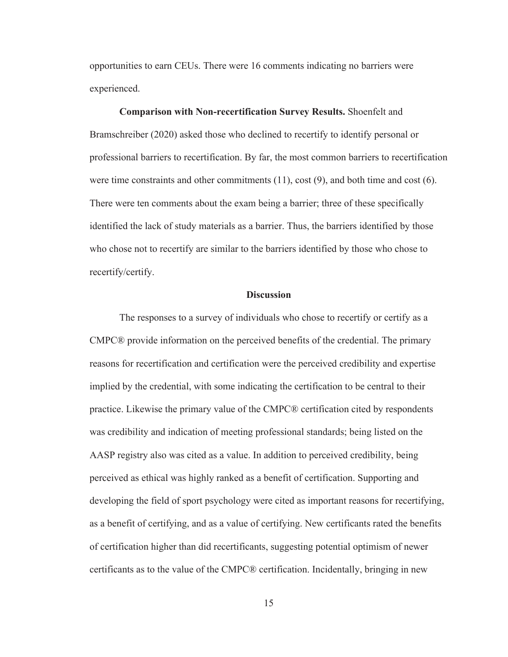opportunities to earn CEUs. There were 16 comments indicating no barriers were experienced.

**Comparison with Non-recertification Survey Results.** Shoenfelt and Bramschreiber (2020) asked those who declined to recertify to identify personal or professional barriers to recertification. By far, the most common barriers to recertification were time constraints and other commitments (11), cost (9), and both time and cost (6). There were ten comments about the exam being a barrier; three of these specifically identified the lack of study materials as a barrier. Thus, the barriers identified by those who chose not to recertify are similar to the barriers identified by those who chose to recertify/certify.

#### **Discussion**

The responses to a survey of individuals who chose to recertify or certify as a CMPC® provide information on the perceived benefits of the credential. The primary reasons for recertification and certification were the perceived credibility and expertise implied by the credential, with some indicating the certification to be central to their practice. Likewise the primary value of the CMPC® certification cited by respondents was credibility and indication of meeting professional standards; being listed on the AASP registry also was cited as a value. In addition to perceived credibility, being perceived as ethical was highly ranked as a benefit of certification. Supporting and developing the field of sport psychology were cited as important reasons for recertifying, as a benefit of certifying, and as a value of certifying. New certificants rated the benefits of certification higher than did recertificants, suggesting potential optimism of newer certificants as to the value of the CMPC® certification. Incidentally, bringing in new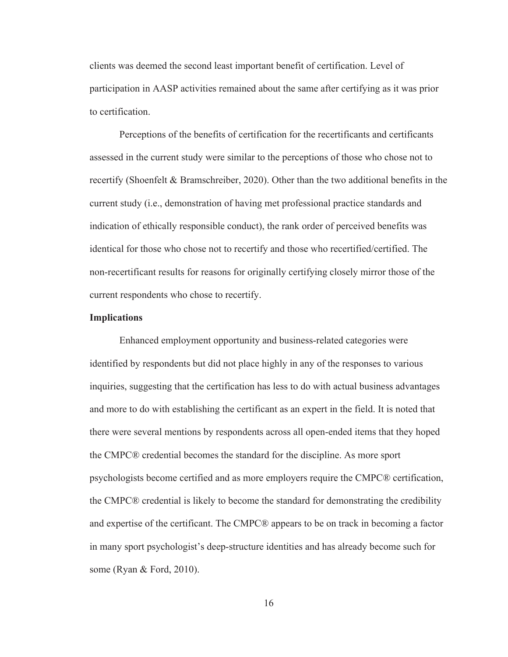clients was deemed the second least important benefit of certification. Level of participation in AASP activities remained about the same after certifying as it was prior to certification.

Perceptions of the benefits of certification for the recertificants and certificants assessed in the current study were similar to the perceptions of those who chose not to recertify (Shoenfelt & Bramschreiber, 2020). Other than the two additional benefits in the current study (i.e., demonstration of having met professional practice standards and indication of ethically responsible conduct), the rank order of perceived benefits was identical for those who chose not to recertify and those who recertified/certified. The non-recertificant results for reasons for originally certifying closely mirror those of the current respondents who chose to recertify.

#### **Implications**

Enhanced employment opportunity and business-related categories were identified by respondents but did not place highly in any of the responses to various inquiries, suggesting that the certification has less to do with actual business advantages and more to do with establishing the certificant as an expert in the field. It is noted that there were several mentions by respondents across all open-ended items that they hoped the CMPC® credential becomes the standard for the discipline. As more sport psychologists become certified and as more employers require the CMPC® certification, the CMPC® credential is likely to become the standard for demonstrating the credibility and expertise of the certificant. The CMPC® appears to be on track in becoming a factor in many sport psychologist's deep-structure identities and has already become such for some (Ryan & Ford, 2010).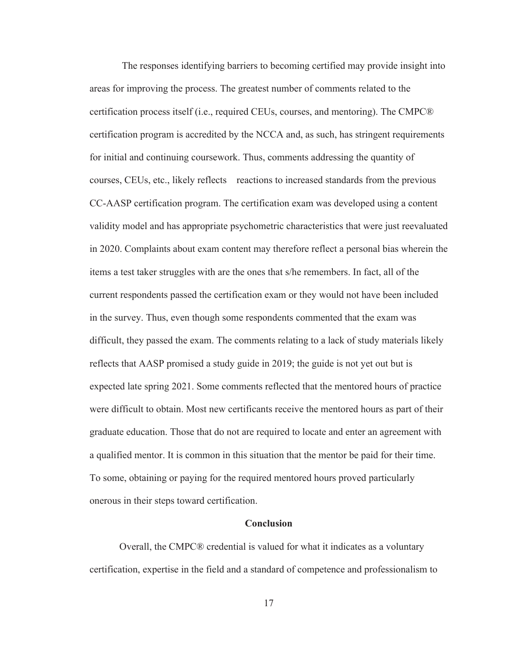The responses identifying barriers to becoming certified may provide insight into areas for improving the process. The greatest number of comments related to the certification process itself (i.e., required CEUs, courses, and mentoring). The CMPC® certification program is accredited by the NCCA and, as such, has stringent requirements for initial and continuing coursework. Thus, comments addressing the quantity of courses, CEUs, etc., likely reflects reactions to increased standards from the previous CC-AASP certification program. The certification exam was developed using a content validity model and has appropriate psychometric characteristics that were just reevaluated in 2020. Complaints about exam content may therefore reflect a personal bias wherein the items a test taker struggles with are the ones that s/he remembers. In fact, all of the current respondents passed the certification exam or they would not have been included in the survey. Thus, even though some respondents commented that the exam was difficult, they passed the exam. The comments relating to a lack of study materials likely reflects that AASP promised a study guide in 2019; the guide is not yet out but is expected late spring 2021. Some comments reflected that the mentored hours of practice were difficult to obtain. Most new certificants receive the mentored hours as part of their graduate education. Those that do not are required to locate and enter an agreement with a qualified mentor. It is common in this situation that the mentor be paid for their time. To some, obtaining or paying for the required mentored hours proved particularly onerous in their steps toward certification.

#### **Conclusion**

Overall, the CMPC® credential is valued for what it indicates as a voluntary certification, expertise in the field and a standard of competence and professionalism to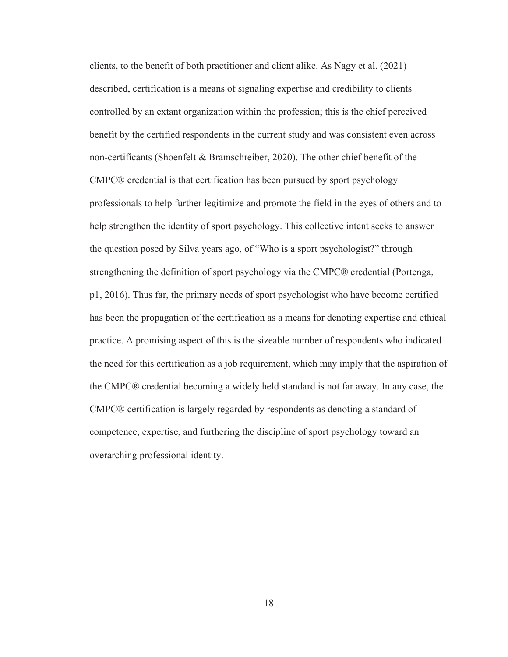clients, to the benefit of both practitioner and client alike. As Nagy et al. (2021) described, certification is a means of signaling expertise and credibility to clients controlled by an extant organization within the profession; this is the chief perceived benefit by the certified respondents in the current study and was consistent even across non-certificants (Shoenfelt & Bramschreiber, 2020). The other chief benefit of the CMPC® credential is that certification has been pursued by sport psychology professionals to help further legitimize and promote the field in the eyes of others and to help strengthen the identity of sport psychology. This collective intent seeks to answer the question posed by Silva years ago, of "Who is a sport psychologist?" through strengthening the definition of sport psychology via the CMPC® credential (Portenga, p1, 2016). Thus far, the primary needs of sport psychologist who have become certified has been the propagation of the certification as a means for denoting expertise and ethical practice. A promising aspect of this is the sizeable number of respondents who indicated the need for this certification as a job requirement, which may imply that the aspiration of the CMPC® credential becoming a widely held standard is not far away. In any case, the CMPC® certification is largely regarded by respondents as denoting a standard of competence, expertise, and furthering the discipline of sport psychology toward an overarching professional identity.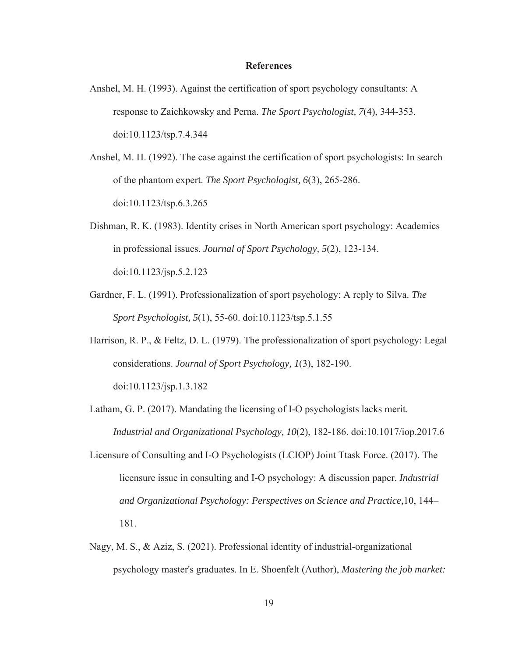#### **References**

- Anshel, M. H. (1993). Against the certification of sport psychology consultants: A response to Zaichkowsky and Perna. *The Sport Psychologist, 7*(4), 344-353. doi:10.1123/tsp.7.4.344
- Anshel, M. H. (1992). The case against the certification of sport psychologists: In search of the phantom expert. *The Sport Psychologist, 6*(3), 265-286. doi:10.1123/tsp.6.3.265
- Dishman, R. K. (1983). Identity crises in North American sport psychology: Academics in professional issues. *Journal of Sport Psychology, 5*(2), 123-134. doi:10.1123/jsp.5.2.123
- Gardner, F. L. (1991). Professionalization of sport psychology: A reply to Silva. *The Sport Psychologist, 5*(1), 55-60. doi:10.1123/tsp.5.1.55
- Harrison, R. P., & Feltz, D. L. (1979). The professionalization of sport psychology: Legal considerations. *Journal of Sport Psychology, 1*(3), 182-190. doi:10.1123/jsp.1.3.182
- Latham, G. P. (2017). Mandating the licensing of I-O psychologists lacks merit. *Industrial and Organizational Psychology, 10*(2), 182-186. doi:10.1017/iop.2017.6
- Licensure of Consulting and I-O Psychologists (LCIOP) Joint Ttask Force. (2017). The licensure issue in consulting and I-O psychology: A discussion paper. *Industrial and Organizational Psychology: Perspectives on Science and Practice,*10, 144– 181.
- Nagy, M. S., & Aziz, S. (2021). Professional identity of industrial-organizational psychology master's graduates. In E. Shoenfelt (Author), *Mastering the job market:*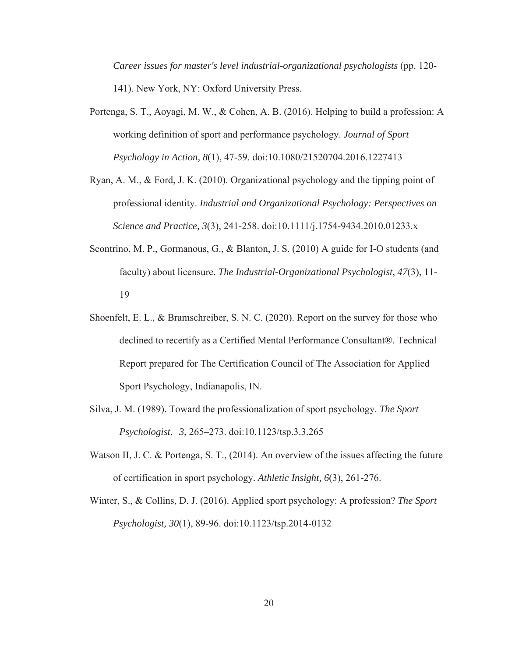*Career issues for master's level industrial-organizational psychologists* (pp. 120- 141). New York, NY: Oxford University Press.

- Portenga, S. T., Aoyagi, M. W., & Cohen, A. B. (2016). Helping to build a profession: A working definition of sport and performance psychology. *Journal of Sport Psychology in Action, 8*(1), 47-59. doi:10.1080/21520704.2016.1227413
- Ryan, A. M., & Ford, J. K. (2010). Organizational psychology and the tipping point of professional identity. *Industrial and Organizational Psychology: Perspectives on Science and Practice, 3*(3), 241-258. doi:10.1111/j.1754-9434.2010.01233.x
- Scontrino, M. P., Gormanous, G., & Blanton, J. S. (2010) A guide for I-O students (and faculty) about licensure. *The Industrial-Organizational Psychologist*, *47*(3), 11- 19
- Shoenfelt, E. L., & Bramschreiber, S. N. C. (2020). Report on the survey for those who declined to recertify as a Certified Mental Performance Consultant®. Technical Report prepared for The Certification Council of The Association for Applied Sport Psychology, Indianapolis, IN.
- Silva, J. M. (1989). Toward the professionalization of sport psychology. *The Sport Psychologist*, *3*, 265–273. doi:10.1123/tsp.3.3.265
- Watson II, J. C. & Portenga, S. T., (2014). An overview of the issues affecting the future of certification in sport psychology. *Athletic Insight, 6*(3), 261-276.
- Winter, S., & Collins, D. J. (2016). Applied sport psychology: A profession? *The Sport Psychologist, 30*(1), 89-96. doi:10.1123/tsp.2014-0132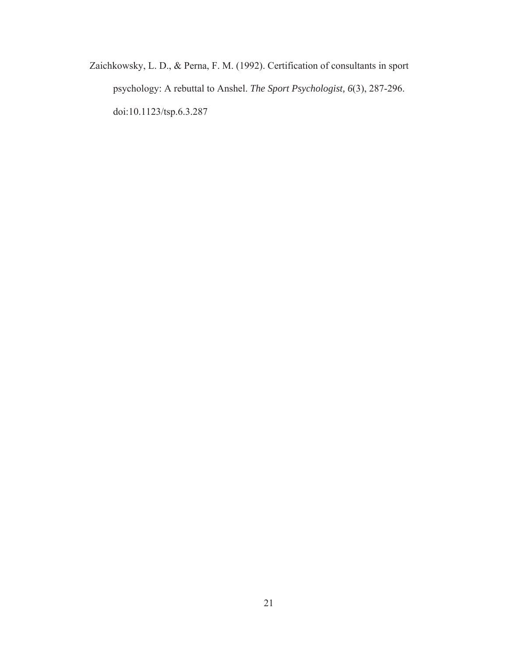Zaichkowsky, L. D., & Perna, F. M. (1992). Certification of consultants in sport psychology: A rebuttal to Anshel. *The Sport Psychologist, 6*(3), 287-296. doi:10.1123/tsp.6.3.287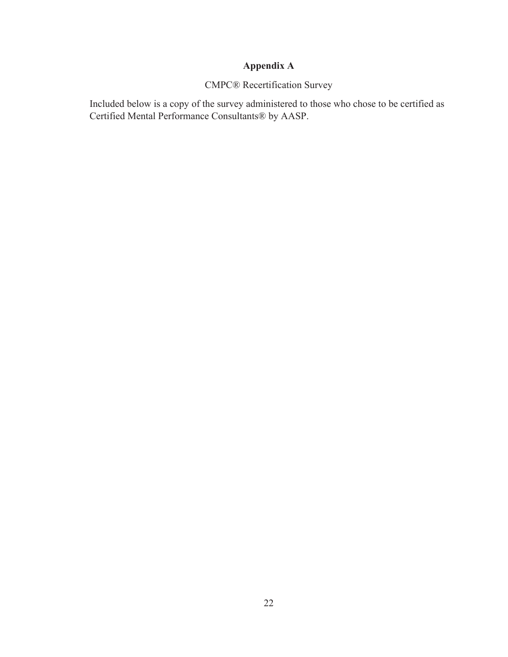## **Appendix A**

## CMPC® Recertification Survey

Included below is a copy of the survey administered to those who chose to be certified as Certified Mental Performance Consultants® by AASP.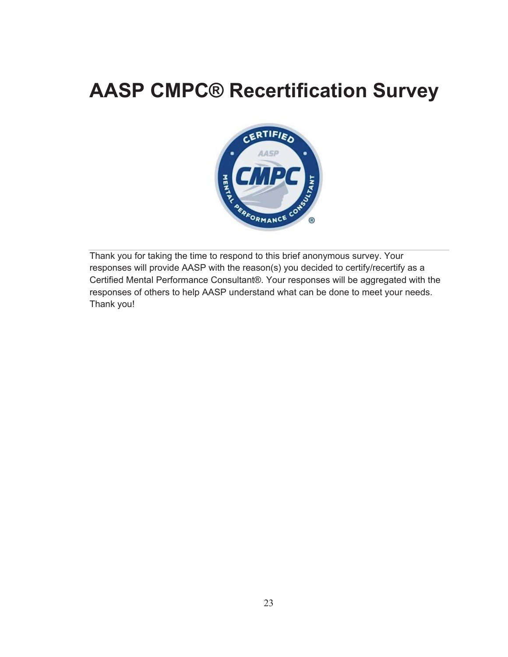# **AASP CMPC® Recertification Survey**



Thank you for taking the time to respond to this brief anonymous survey. Your responses will provide AASP with the reason(s) you decided to certify/recertify as a Certified Mental Performance Consultant®. Your responses will be aggregated with the responses of others to help AASP understand what can be done to meet your needs. Thank you!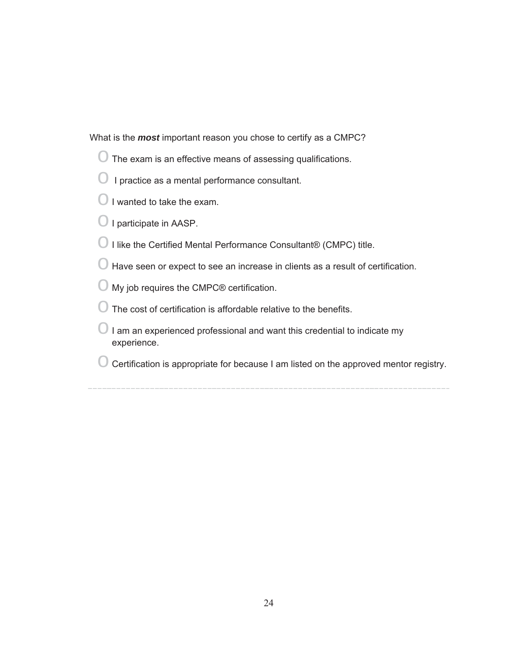What is the *most* important reason you chose to certify as a CMPC?

- $\bigcirc$  The exam is an effective means of assessing qualifications.
- $\bigcirc$  I practice as a mental performance consultant.
- $\bigcirc$  I wanted to take the exam.
- O I participate in AASP.
- $\bigcirc$  I like the Certified Mental Performance Consultant® (CMPC) title.
- $\bigcirc$  Have seen or expect to see an increase in clients as a result of certification.
- $\bigcirc$  My job requires the CMPC® certification.
- $\bigcirc$  The cost of certification is affordable relative to the benefits.
- $\bigcirc$  I am an experienced professional and want this credential to indicate my experience.
- $\bigcirc$  Certification is appropriate for because I am listed on the approved mentor registry.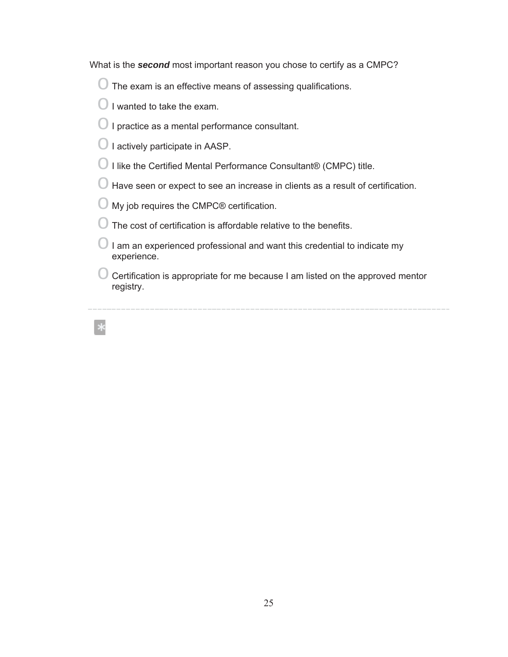What is the *second* most important reason you chose to certify as a CMPC?

- $\bigcirc$  The exam is an effective means of assessing qualifications.
- $\bigcirc$  I wanted to take the exam.
- $\bigcirc$  I practice as a mental performance consultant.
- $\bigcirc$  I actively participate in AASP.
- $\bigcirc$  I like the Certified Mental Performance Consultant® (CMPC) title.
- $\bigcirc$  Have seen or expect to see an increase in clients as a result of certification.
- $\bigcirc$  My job requires the CMPC® certification.
- $\bigcirc$  The cost of certification is affordable relative to the benefits.
- $\bigcirc$  I am an experienced professional and want this credential to indicate my experience.
- $\bigcirc$  Certification is appropriate for me because I am listed on the approved mentor registry.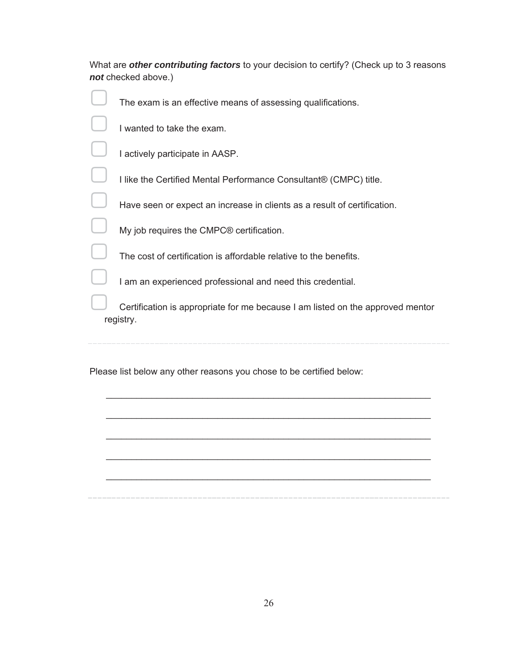| What are other contributing factors to your decision to certify? (Check up to 3 reasons |  |
|-----------------------------------------------------------------------------------------|--|
| not checked above.)                                                                     |  |

| The exam is an effective means of assessing qualifications.                                 |
|---------------------------------------------------------------------------------------------|
| I wanted to take the exam.                                                                  |
| I actively participate in AASP.                                                             |
| I like the Certified Mental Performance Consultant® (CMPC) title.                           |
| Have seen or expect an increase in clients as a result of certification.                    |
| My job requires the CMPC <sup>®</sup> certification.                                        |
| The cost of certification is affordable relative to the benefits.                           |
| I am an experienced professional and need this credential.                                  |
| Certification is appropriate for me because I am listed on the approved mentor<br>registry. |
|                                                                                             |

Please list below any other reasons you chose to be certified below:

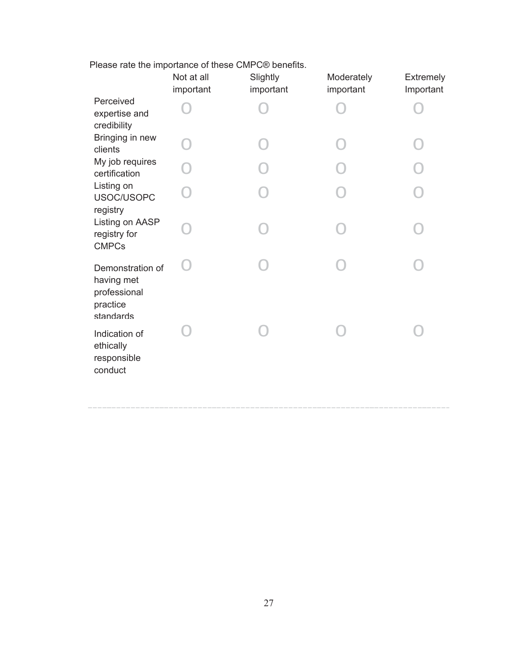| Please rate the importance of these CMPC® benefits. |  |  |  |  |  |
|-----------------------------------------------------|--|--|--|--|--|
|-----------------------------------------------------|--|--|--|--|--|

|                                                                         | Not at all<br>important | Slightly<br>important | Moderately<br>important | Extremely<br>Important |
|-------------------------------------------------------------------------|-------------------------|-----------------------|-------------------------|------------------------|
| Perceived<br>expertise and<br>credibility                               |                         |                       |                         |                        |
| Bringing in new<br>clients                                              |                         |                       |                         |                        |
| My job requires<br>certification                                        |                         |                       |                         |                        |
| Listing on<br>USOC/USOPC<br>registry                                    |                         |                       |                         |                        |
| Listing on AASP<br>registry for<br><b>CMPCs</b>                         |                         |                       |                         |                        |
| Demonstration of<br>having met<br>professional<br>practice<br>standards |                         |                       |                         |                        |
| Indication of<br>ethically<br>responsible<br>conduct                    |                         |                       |                         |                        |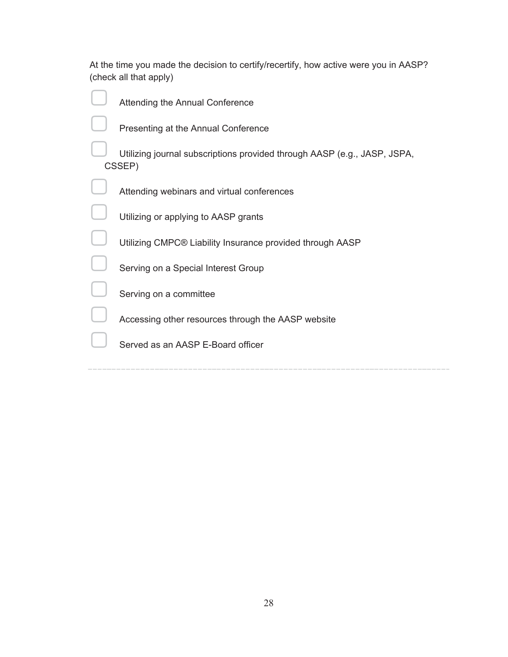| At the time you made the decision to certify/recertify, how active were you in AASP? |  |
|--------------------------------------------------------------------------------------|--|
| (check all that apply)                                                               |  |

| Attending the Annual Conference                                                    |
|------------------------------------------------------------------------------------|
| Presenting at the Annual Conference                                                |
| Utilizing journal subscriptions provided through AASP (e.g., JASP, JSPA,<br>CSSEP) |
| Attending webinars and virtual conferences                                         |
| Utilizing or applying to AASP grants                                               |
| Utilizing CMPC® Liability Insurance provided through AASP                          |
| Serving on a Special Interest Group                                                |
| Serving on a committee                                                             |
| Accessing other resources through the AASP website                                 |
| Served as an AASP E-Board officer                                                  |
|                                                                                    |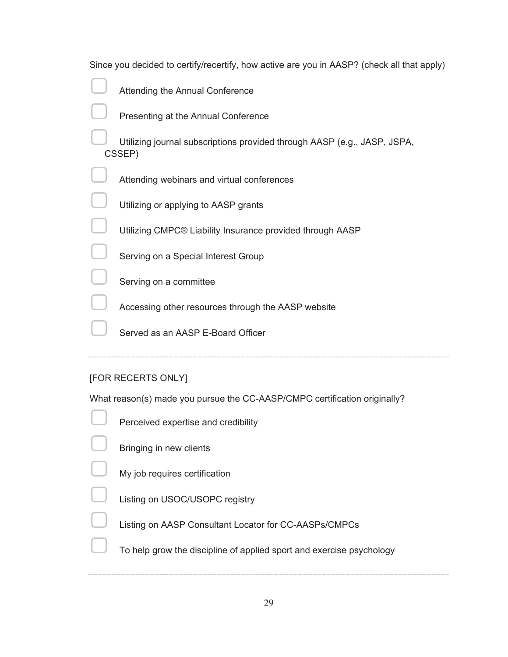| Since you decided to certify/recertify, how active are you in AASP? (check all that apply) |
|--------------------------------------------------------------------------------------------|
| Attending the Annual Conference                                                            |
| Presenting at the Annual Conference                                                        |
| Utilizing journal subscriptions provided through AASP (e.g., JASP, JSPA,<br>CSSEP)         |
| Attending webinars and virtual conferences                                                 |
| Utilizing or applying to AASP grants                                                       |
| Utilizing CMPC® Liability Insurance provided through AASP                                  |
| Serving on a Special Interest Group                                                        |
| Serving on a committee                                                                     |
| Accessing other resources through the AASP website                                         |
| Served as an AASP E-Board Officer                                                          |

## [FOR RECERTS ONLY]

What reason(s) made you pursue the CC-AASP/CMPC certification originally?

**SEP Perceived expertise and credibility**  $\Box$  Bringing in new clients  $\Box$  My job requires certification ᵼ Listing on USOC/USOPC registry ᵼ Listing on AASP Consultant Locator for CC-AASPs/CMPCs

ᵼ To help grow the discipline of applied sport and exercise psychology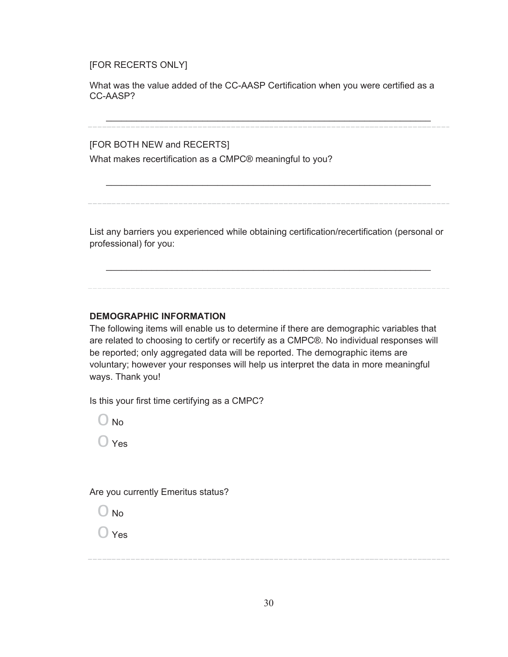#### [FOR RECERTS ONLY]

What was the value added of the CC-AASP Certification when you were certified as a CC-AASP?

 $\mathcal{L}_\text{max} = \mathcal{L}_\text{max} = \mathcal{L}_\text{max} = \mathcal{L}_\text{max} = \mathcal{L}_\text{max} = \mathcal{L}_\text{max} = \mathcal{L}_\text{max} = \mathcal{L}_\text{max} = \mathcal{L}_\text{max} = \mathcal{L}_\text{max} = \mathcal{L}_\text{max} = \mathcal{L}_\text{max} = \mathcal{L}_\text{max} = \mathcal{L}_\text{max} = \mathcal{L}_\text{max} = \mathcal{L}_\text{max} = \mathcal{L}_\text{max} = \mathcal{L}_\text{max} = \mathcal{$ 

 $\mathcal{L}_\text{max} = \mathcal{L}_\text{max} = \mathcal{L}_\text{max} = \mathcal{L}_\text{max} = \mathcal{L}_\text{max} = \mathcal{L}_\text{max} = \mathcal{L}_\text{max} = \mathcal{L}_\text{max} = \mathcal{L}_\text{max} = \mathcal{L}_\text{max} = \mathcal{L}_\text{max} = \mathcal{L}_\text{max} = \mathcal{L}_\text{max} = \mathcal{L}_\text{max} = \mathcal{L}_\text{max} = \mathcal{L}_\text{max} = \mathcal{L}_\text{max} = \mathcal{L}_\text{max} = \mathcal{$ 

[FOR BOTH NEW and RECERTS]

What makes recertification as a CMPC® meaningful to you?

List any barriers you experienced while obtaining certification/recertification (personal or professional) for you:

 $\mathcal{L}_\text{max} = \mathcal{L}_\text{max} = \mathcal{L}_\text{max} = \mathcal{L}_\text{max} = \mathcal{L}_\text{max} = \mathcal{L}_\text{max} = \mathcal{L}_\text{max} = \mathcal{L}_\text{max} = \mathcal{L}_\text{max} = \mathcal{L}_\text{max} = \mathcal{L}_\text{max} = \mathcal{L}_\text{max} = \mathcal{L}_\text{max} = \mathcal{L}_\text{max} = \mathcal{L}_\text{max} = \mathcal{L}_\text{max} = \mathcal{L}_\text{max} = \mathcal{L}_\text{max} = \mathcal{$ 

#### **DEMOGRAPHIC INFORMATION**

The following items will enable us to determine if there are demographic variables that are related to choosing to certify or recertify as a CMPC®. No individual responses will be reported; only aggregated data will be reported. The demographic items are voluntary; however your responses will help us interpret the data in more meaningful ways. Thank you!

Is this your first time certifying as a CMPC?

 $\bigcirc$  No

 $\bigcirc$  Yes

Are you currently Emeritus status?

 $\bigcirc$  No

 $\bigcirc$  Yes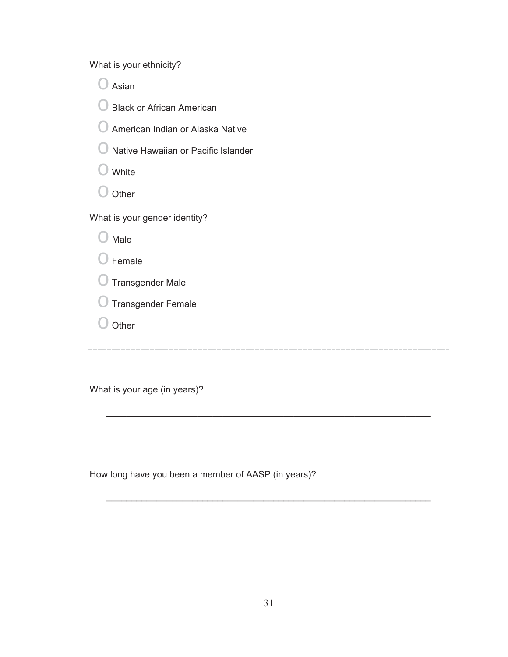What is your ethnicity?

 $\bigcirc$  Asian

O Black or African American

 $\bigcirc$  American Indian or Alaska Native

 $\bigcirc$  Native Hawaiian or Pacific Islander

 $\bigcirc$  White

 $\bigcirc$  Other

What is your gender identity?

 $\bigcirc$  Male

 $\bigcirc$  Female

o Transgender Male

o Transgender Female

 $\bigcirc$  Other

 $\mathcal{L}_\text{max} = \mathcal{L}_\text{max} = \mathcal{L}_\text{max} = \mathcal{L}_\text{max} = \mathcal{L}_\text{max} = \mathcal{L}_\text{max} = \mathcal{L}_\text{max} = \mathcal{L}_\text{max} = \mathcal{L}_\text{max} = \mathcal{L}_\text{max} = \mathcal{L}_\text{max} = \mathcal{L}_\text{max} = \mathcal{L}_\text{max} = \mathcal{L}_\text{max} = \mathcal{L}_\text{max} = \mathcal{L}_\text{max} = \mathcal{L}_\text{max} = \mathcal{L}_\text{max} = \mathcal{$ 

 $\mathcal{L}_\text{max} = \mathcal{L}_\text{max} = \mathcal{L}_\text{max} = \mathcal{L}_\text{max} = \mathcal{L}_\text{max} = \mathcal{L}_\text{max} = \mathcal{L}_\text{max} = \mathcal{L}_\text{max} = \mathcal{L}_\text{max} = \mathcal{L}_\text{max} = \mathcal{L}_\text{max} = \mathcal{L}_\text{max} = \mathcal{L}_\text{max} = \mathcal{L}_\text{max} = \mathcal{L}_\text{max} = \mathcal{L}_\text{max} = \mathcal{L}_\text{max} = \mathcal{L}_\text{max} = \mathcal{$ 

What is your age (in years)?

How long have you been a member of AASP (in years)?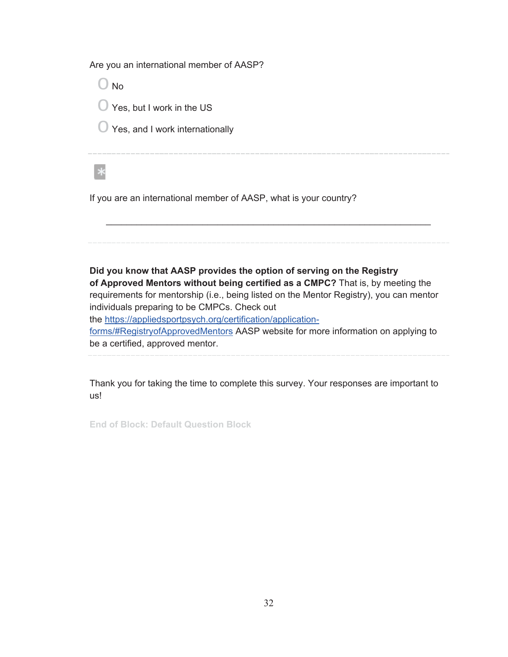Are you an international member of AASP?

 $\bigcirc$  No  $\bigcirc$  Yes, but I work in the US

 $\bigcirc$  Yes, and I work internationally

 $\ast$ 

If you are an international member of AASP, what is your country?

**Did you know that AASP provides the option of serving on the Registry of Approved Mentors without being certified as a CMPC?** That is, by meeting the requirements for mentorship (i.e., being listed on the Mentor Registry), you can mentor individuals preparing to be CMPCs. Check out the https://appliedsportpsych.org/certification/applicationforms/#RegistryofApprovedMentors AASP website for more information on applying to be a certified, approved mentor.

 $\mathcal{L}_\text{max} = \mathcal{L}_\text{max} = \mathcal{L}_\text{max} = \mathcal{L}_\text{max} = \mathcal{L}_\text{max} = \mathcal{L}_\text{max} = \mathcal{L}_\text{max} = \mathcal{L}_\text{max} = \mathcal{L}_\text{max} = \mathcal{L}_\text{max} = \mathcal{L}_\text{max} = \mathcal{L}_\text{max} = \mathcal{L}_\text{max} = \mathcal{L}_\text{max} = \mathcal{L}_\text{max} = \mathcal{L}_\text{max} = \mathcal{L}_\text{max} = \mathcal{L}_\text{max} = \mathcal{$ 

Thank you for taking the time to complete this survey. Your responses are important to us!

**End of Block: Default Question Block**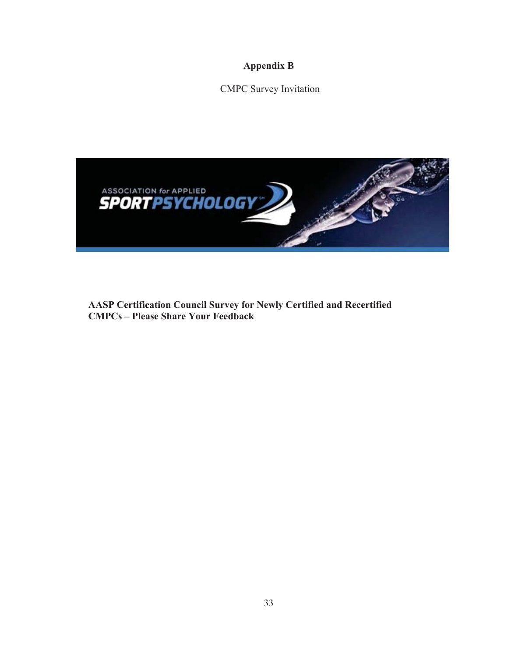**Appendix B** 

CMPC Survey Invitation



**AASP Certification Council Survey for Newly Certified and Recertified CMPCs – Please Share Your Feedback**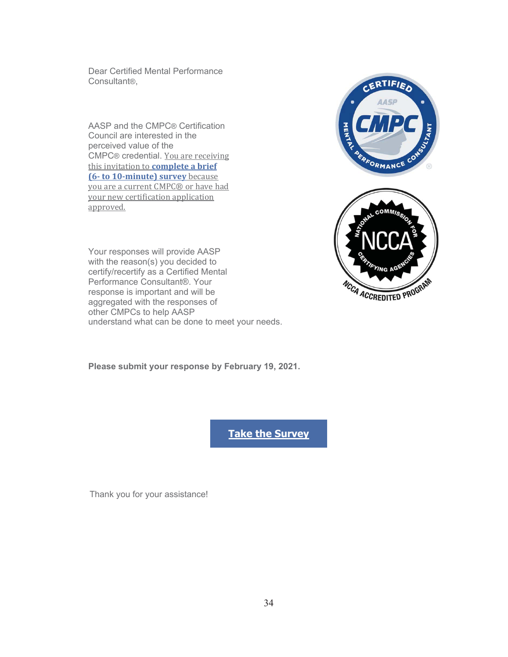Dear Certified Mental Performance Consultant®,

AASP and the CMPC® Certification Council are interested in the perceived value of the CMPC® credential. You are receiving this invitation to **complete a brief (6- to 10-minute) survey** because you are a current CMPC® or have had your new certification application approved.

Your responses will provide AASP with the reason(s) you decided to certify/recertify as a Certified Mental Performance Consultant®. Your response is important and will be aggregated with the responses of other CMPCs to help AASP understand what can be done to meet your needs.





**Please submit your response by February 19, 2021.**

**Take the Survey**

Thank you for your assistance!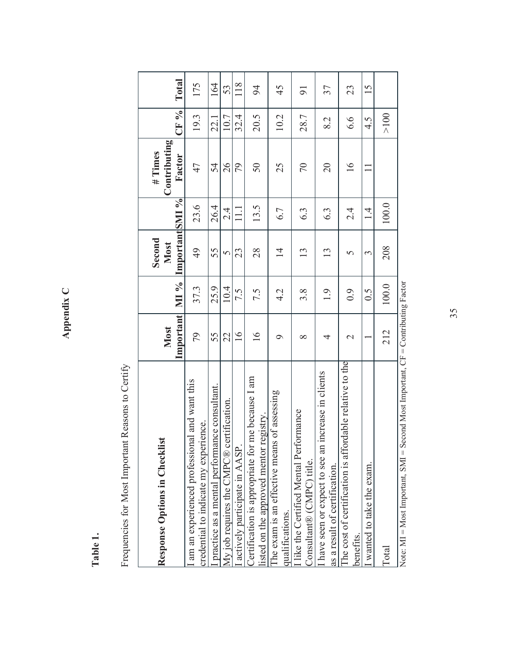Appendix C **Appendix C** 

> Table 1. **Table 1.**

Frequencies for Most Important Reasons to Certify Frequencies for Most Important Reasons to Certify

| <b>Response Options in Checklist</b>                                                        | Important<br>Most | MI %  | ImportantSMI %<br>Second<br>Most |            | Contributing<br># Times<br>Factor | CF %   | Total          |
|---------------------------------------------------------------------------------------------|-------------------|-------|----------------------------------|------------|-----------------------------------|--------|----------------|
| am an experienced professional and want this<br>credential to indicate my experience.       | 79                | 37.3  | $\overline{6}$                   | 23.6       | 47                                | 19.3   | 175            |
| practice as a mental performance consultant.                                                | 55                | 25.9  | 55                               | 26.4       | 54                                | 22.1   | 164            |
| My job requires the CMPC® certification.                                                    | 22                | 10.4  | $\overline{S}$                   | $2\cdot 4$ | 26                                | 10.7   | 53             |
| actively participate in AASP.                                                               | $\overline{16}$   | 7.5   | 23                               | 111        | 79                                | 32.4   | 118            |
| Certification is appropriate for me because I am<br>listed on the approved mentor registry. | $\overline{16}$   | 7.5   | 28                               | 13.5       | 50                                | 20.5   | 94             |
| The exam is an effective means of assessing<br>qualifications.                              | σ                 | 4.2   | $\overline{4}$                   | 6.7        | 25                                | 10.2   | 45             |
| I like the Certified Mental Performance<br>Consultant® (CMPC) title.                        | $\infty$          | 3.8   | 13                               | 6.3        | $\sqrt{2}$                        | 28.7   | $\overline{9}$ |
| increase in clients<br>have seen or expect to see an<br>as a result of certification.       | 4                 | 1.9   | 13                               | 6.3        | $\overline{20}$                   | 8.2    | 37             |
| The cost of certification is affordable relative to the<br>benefits.                        | $\mathrel{\sim}$  | 0.9   | n                                | 2.4        | $\frac{6}{2}$                     | 6.6    | 23             |
| wanted to take the exam.                                                                    |                   | 0.5   | 3                                | $\vec{r}$  | $\Box$                            | 4.5    | 15             |
| Total                                                                                       | 212               | 100.0 | 208                              | 100.0      |                                   | $>100$ |                |
| Note: MI = Most Important, SMI = Second Most Important, CF = Contributing Factor            |                   |       |                                  |            |                                   |        |                |

35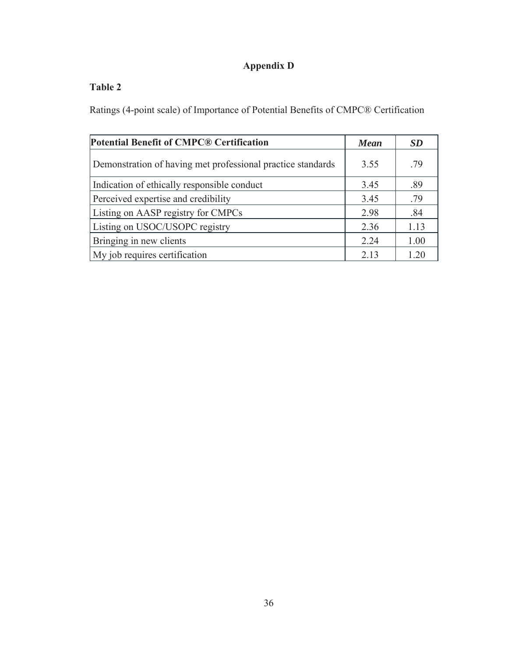# **Appendix D**

# **Table 2**

Ratings (4-point scale) of Importance of Potential Benefits of CMPC® Certification

| <b>Potential Benefit of CMPC® Certification</b>             | <b>Mean</b> | <b>SD</b> |
|-------------------------------------------------------------|-------------|-----------|
| Demonstration of having met professional practice standards | 3.55        | .79       |
| Indication of ethically responsible conduct                 | 3.45        | .89       |
| Perceived expertise and credibility                         | 3.45        | .79       |
| Listing on AASP registry for CMPCs                          | 2.98        | .84       |
| Listing on USOC/USOPC registry                              | 2.36        | 1.13      |
| Bringing in new clients                                     | 2.24        | 1.00      |
| My job requires certification                               | 2.13        | 1.20      |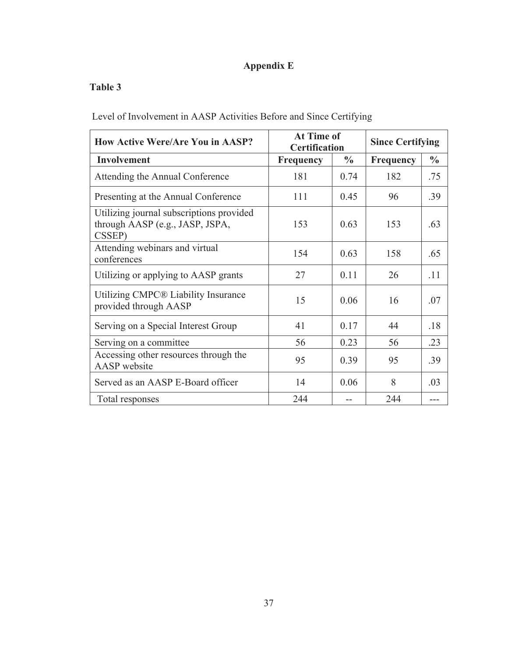# **Appendix E**

## **Table 3**

Level of Involvement in AASP Activities Before and Since Certifying

| <b>How Active Were/Are You in AASP?</b>                                               | At Time of<br><b>Certification</b> | <b>Since Certifying</b> |                  |               |
|---------------------------------------------------------------------------------------|------------------------------------|-------------------------|------------------|---------------|
| Involvement                                                                           | <b>Frequency</b>                   | $\frac{0}{0}$           | <b>Frequency</b> | $\frac{0}{0}$ |
| Attending the Annual Conference                                                       | 181                                | 0.74                    | 182              | .75           |
| Presenting at the Annual Conference                                                   | 111                                | 0.45                    | 96               | .39           |
| Utilizing journal subscriptions provided<br>through AASP (e.g., JASP, JSPA,<br>CSSEP) | 153                                | 0.63                    | 153              | .63           |
| Attending webinars and virtual<br>conferences                                         | 154                                | 0.63                    | 158              | .65           |
| Utilizing or applying to AASP grants                                                  | 27                                 | 0.11                    | 26               | .11           |
| Utilizing CMPC® Liability Insurance<br>provided through AASP                          | 15                                 | 0.06                    | 16               | .07           |
| Serving on a Special Interest Group                                                   | 41                                 | 0.17                    | 44               | .18           |
| Serving on a committee                                                                | 56                                 | 0.23                    | 56               | .23           |
| Accessing other resources through the<br><b>AASP</b> website                          | 95                                 | 0.39                    | 95               | .39           |
| Served as an AASP E-Board officer                                                     | 14                                 | 0.06                    | 8                | .03           |
| Total responses                                                                       | 244                                |                         | 244              |               |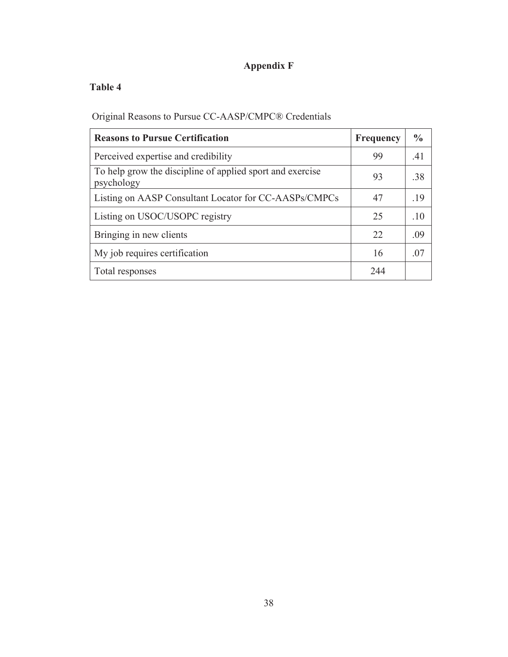# **Appendix F**

## **Table 4**

Original Reasons to Pursue CC-AASP/CMPC® Credentials

| <b>Reasons to Pursue Certification</b>                                  | <b>Frequency</b> | $\frac{6}{6}$ |
|-------------------------------------------------------------------------|------------------|---------------|
| Perceived expertise and credibility                                     | 99               | .41           |
| To help grow the discipline of applied sport and exercise<br>psychology | 93               | .38           |
| Listing on AASP Consultant Locator for CC-AASPs/CMPCs                   | 47               | .19           |
| Listing on USOC/USOPC registry                                          | 25               | .10           |
| Bringing in new clients                                                 | 22               | .09           |
| My job requires certification                                           | 16               | .07           |
| Total responses                                                         | 244              |               |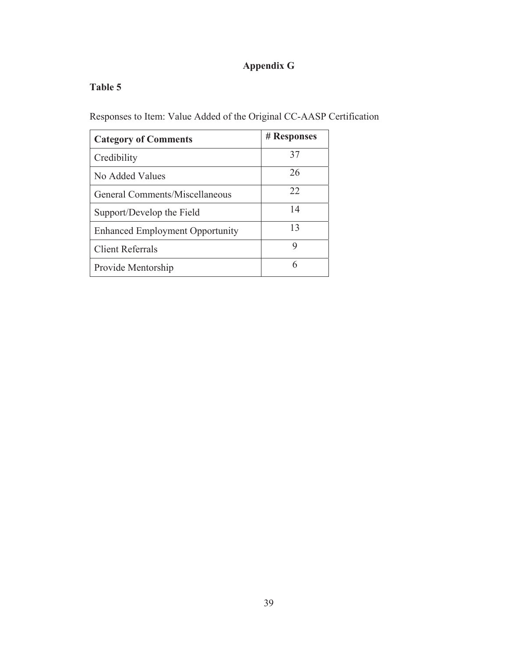# **Appendix G**

## **Table 5**

Responses to Item: Value Added of the Original CC-AASP Certification

| <b>Category of Comments</b>            | # Responses |
|----------------------------------------|-------------|
| Credibility                            | 37          |
| No Added Values                        | 26          |
| General Comments/Miscellaneous         | 22          |
| Support/Develop the Field              | 14          |
| <b>Enhanced Employment Opportunity</b> | 13          |
| <b>Client Referrals</b>                | 9           |
| Provide Mentorship                     | 6           |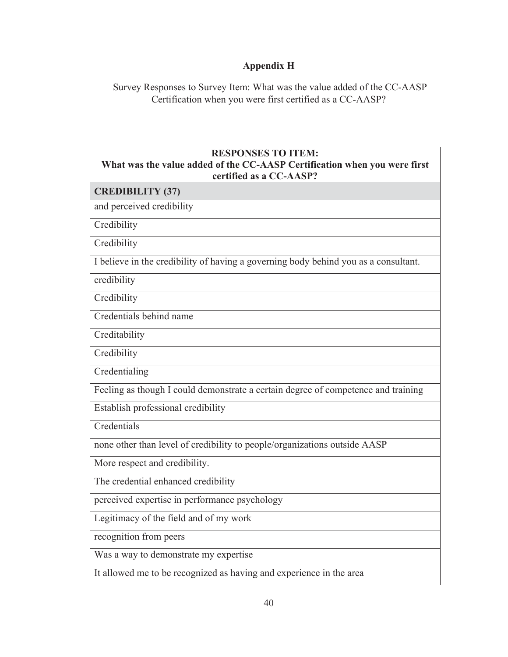# **Appendix H**

Survey Responses to Survey Item: What was the value added of the CC-AASP Certification when you were first certified as a CC-AASP?

| <b>RESPONSES TO ITEM:</b><br>What was the value added of the CC-AASP Certification when you were first<br>certified as a CC-AASP? |
|-----------------------------------------------------------------------------------------------------------------------------------|
| <b>CREDIBILITY (37)</b>                                                                                                           |
| and perceived credibility                                                                                                         |
| Credibility                                                                                                                       |
| Credibility                                                                                                                       |
| I believe in the credibility of having a governing body behind you as a consultant.                                               |
| credibility                                                                                                                       |
| Credibility                                                                                                                       |
| Credentials behind name                                                                                                           |
| Creditability                                                                                                                     |
| Credibility                                                                                                                       |
| Credentialing                                                                                                                     |
| Feeling as though I could demonstrate a certain degree of competence and training                                                 |
| Establish professional credibility                                                                                                |
| Credentials                                                                                                                       |
| none other than level of credibility to people/organizations outside AASP                                                         |
| More respect and credibility.                                                                                                     |
| The credential enhanced credibility                                                                                               |
| perceived expertise in performance psychology                                                                                     |
| Legitimacy of the field and of my work                                                                                            |
| recognition from peers                                                                                                            |
| Was a way to demonstrate my expertise                                                                                             |
| It allowed me to be recognized as having and experience in the area                                                               |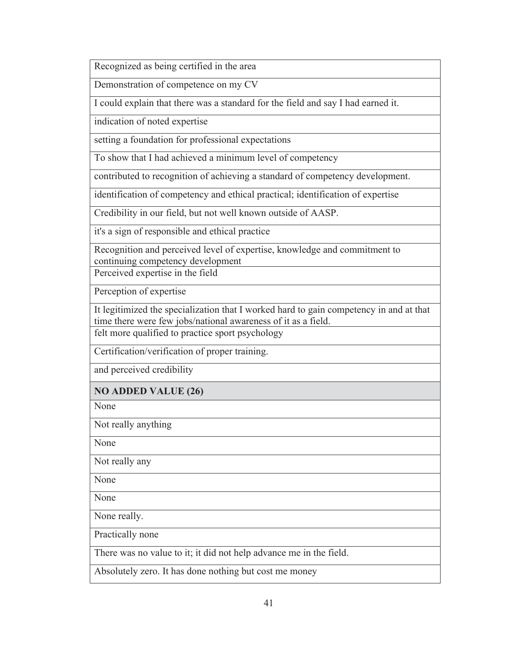Recognized as being certified in the area

Demonstration of competence on my CV

I could explain that there was a standard for the field and say I had earned it.

indication of noted expertise

setting a foundation for professional expectations

To show that I had achieved a minimum level of competency

contributed to recognition of achieving a standard of competency development.

identification of competency and ethical practical; identification of expertise

Credibility in our field, but not well known outside of AASP.

it's a sign of responsible and ethical practice

Recognition and perceived level of expertise, knowledge and commitment to continuing competency development

Perceived expertise in the field

Perception of expertise

It legitimized the specialization that I worked hard to gain competency in and at that time there were few jobs/national awareness of it as a field.

felt more qualified to practice sport psychology

Certification/verification of proper training.

and perceived credibility

#### **NO ADDED VALUE (26)**

None

Not really anything

None

Not really any

None

None

None really.

Practically none

There was no value to it; it did not help advance me in the field.

Absolutely zero. It has done nothing but cost me money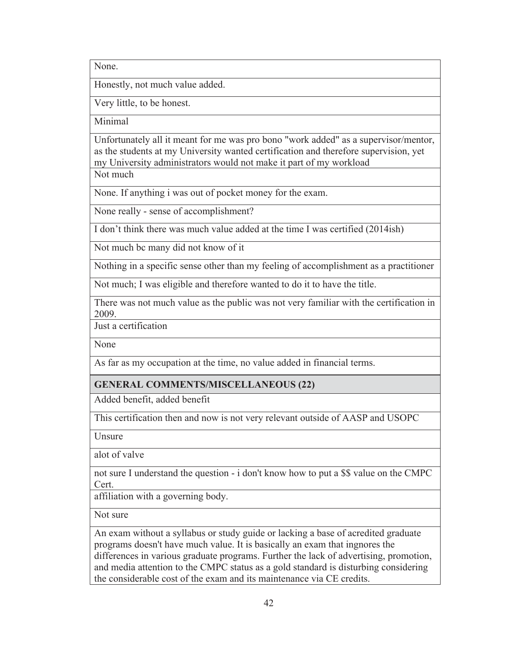None.

Honestly, not much value added.

Very little, to be honest.

Minimal

Unfortunately all it meant for me was pro bono "work added" as a supervisor/mentor, as the students at my University wanted certification and therefore supervision, yet my University administrators would not make it part of my workload

Not much

None. If anything i was out of pocket money for the exam.

None really - sense of accomplishment?

I don't think there was much value added at the time I was certified (2014ish)

Not much bc many did not know of it

Nothing in a specific sense other than my feeling of accomplishment as a practitioner

Not much; I was eligible and therefore wanted to do it to have the title.

There was not much value as the public was not very familiar with the certification in 2009.

Just a certification

None

As far as my occupation at the time, no value added in financial terms.

#### **GENERAL COMMENTS/MISCELLANEOUS (22)**

Added benefit, added benefit

This certification then and now is not very relevant outside of AASP and USOPC

**Unsure** 

alot of valve

not sure I understand the question - i don't know how to put a \$\$ value on the CMPC Cert.

affiliation with a governing body.

Not sure

An exam without a syllabus or study guide or lacking a base of acredited graduate programs doesn't have much value. It is basically an exam that ingnores the differences in various graduate programs. Further the lack of advertising, promotion, and media attention to the CMPC status as a gold standard is disturbing considering the considerable cost of the exam and its maintenance via CE credits.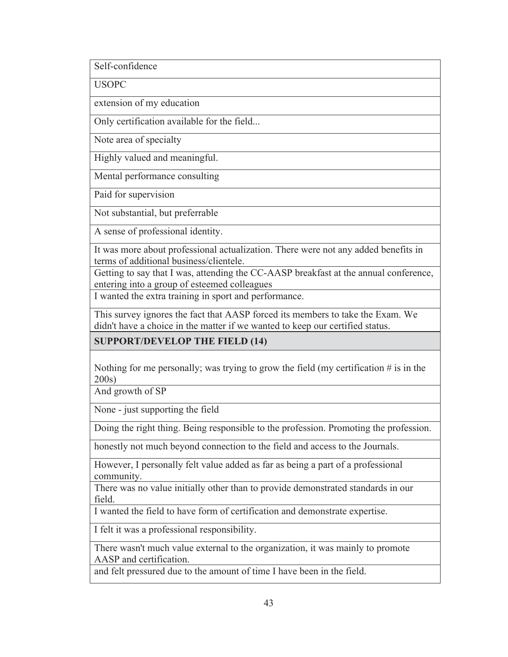Self-confidence

**USOPC** 

extension of my education

Only certification available for the field...

Note area of specialty

Highly valued and meaningful.

Mental performance consulting

Paid for supervision

Not substantial, but preferrable

A sense of professional identity.

It was more about professional actualization. There were not any added benefits in terms of additional business/clientele.

Getting to say that I was, attending the CC-AASP breakfast at the annual conference, entering into a group of esteemed colleagues

I wanted the extra training in sport and performance.

This survey ignores the fact that AASP forced its members to take the Exam. We didn't have a choice in the matter if we wanted to keep our certified status.

**SUPPORT/DEVELOP THE FIELD (14)** 

Nothing for me personally; was trying to grow the field (my certification  $\#$  is in the 200s)

And growth of SP

None - just supporting the field

Doing the right thing. Being responsible to the profession. Promoting the profession.

honestly not much beyond connection to the field and access to the Journals.

However, I personally felt value added as far as being a part of a professional community.

There was no value initially other than to provide demonstrated standards in our field.

I wanted the field to have form of certification and demonstrate expertise.

I felt it was a professional responsibility.

There wasn't much value external to the organization, it was mainly to promote AASP and certification.

and felt pressured due to the amount of time I have been in the field.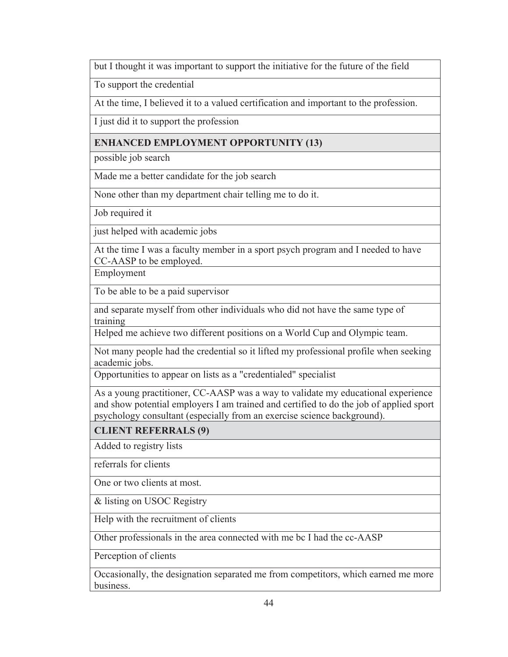but I thought it was important to support the initiative for the future of the field

To support the credential

At the time, I believed it to a valued certification and important to the profession.

I just did it to support the profession

### **ENHANCED EMPLOYMENT OPPORTUNITY (13)**

possible job search

Made me a better candidate for the job search

None other than my department chair telling me to do it.

Job required it

just helped with academic jobs

At the time I was a faculty member in a sport psych program and I needed to have CC-AASP to be employed.

Employment

To be able to be a paid supervisor

and separate myself from other individuals who did not have the same type of training

Helped me achieve two different positions on a World Cup and Olympic team.

Not many people had the credential so it lifted my professional profile when seeking academic jobs.

Opportunities to appear on lists as a "credentialed" specialist

As a young practitioner, CC-AASP was a way to validate my educational experience and show potential employers I am trained and certified to do the job of applied sport psychology consultant (especially from an exercise science background).

**CLIENT REFERRALS (9)** 

Added to registry lists

referrals for clients

One or two clients at most.

& listing on USOC Registry

Help with the recruitment of clients

Other professionals in the area connected with me bc I had the cc-AASP

Perception of clients

Occasionally, the designation separated me from competitors, which earned me more business.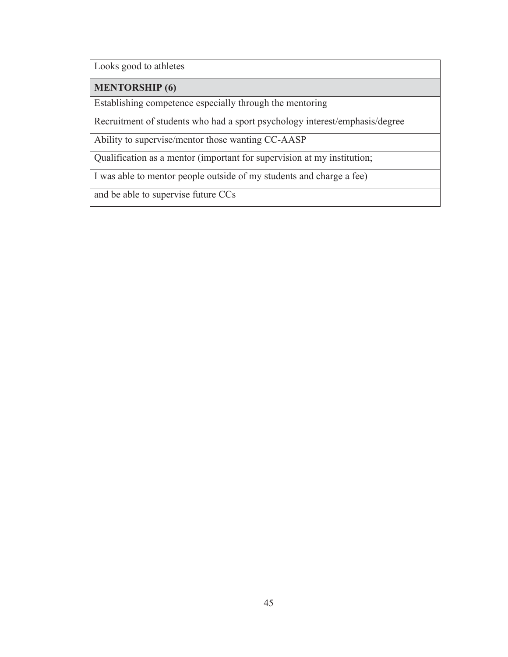Looks good to athletes

#### **MENTORSHIP (6)**

Establishing competence especially through the mentoring

Recruitment of students who had a sport psychology interest/emphasis/degree

Ability to supervise/mentor those wanting CC-AASP

Qualification as a mentor (important for supervision at my institution;

I was able to mentor people outside of my students and charge a fee)

and be able to supervise future CCs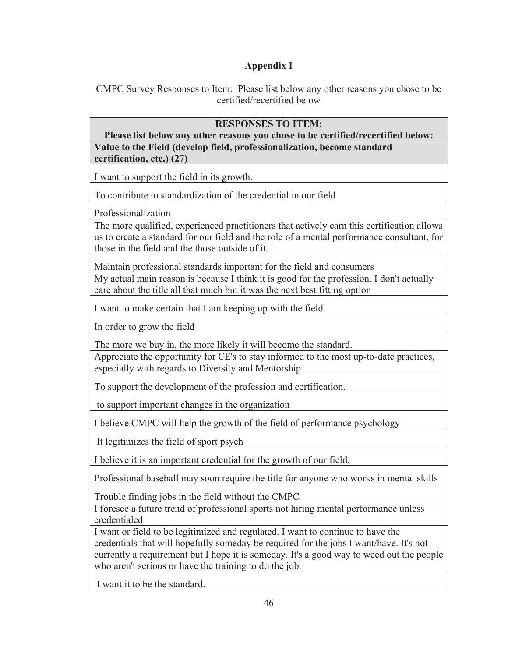## **Appendix I**

CMPC Survey Responses to Item: Please list below any other reasons you chose to be certified/recertified below

#### **RESPONSES TO ITEM:**

**Please list below any other reasons you chose to be certified/recertified below: Value to the Field (develop field, professionalization, become standard certification, etc,) (27)** 

I want to support the field in its growth.

To contribute to standardization of the credential in our field

Professionalization

The more qualified, experienced practitioners that actively earn this certification allows us to create a standard for our field and the role of a mental performance consultant, for those in the field and the those outside of it.

Maintain professional standards important for the field and consumers

My actual main reason is because I think it is good for the profession. I don't actually care about the title all that much but it was the next best fitting option

I want to make certain that I am keeping up with the field.

In order to grow the field

The more we buy in, the more likely it will become the standard.

Appreciate the opportunity for CE's to stay informed to the most up-to-date practices, especially with regards to Diversity and Mentorship

To support the development of the profession and certification.

to support important changes in the organization

I believe CMPC will help the growth of the field of performance psychology

It legitimizes the field of sport psych

I believe it is an important credential for the growth of our field.

Professional baseball may soon require the title for anyone who works in mental skills

Trouble finding jobs in the field without the CMPC

I foresee a future trend of professional sports not hiring mental performance unless credentialed

I want or field to be legitimized and regulated. I want to continue to have the credentials that will hopefully someday be required for the jobs I want/have. It's not currently a requirement but I hope it is someday. It's a good way to weed out the people who aren't serious or have the training to do the job.

I want it to be the standard.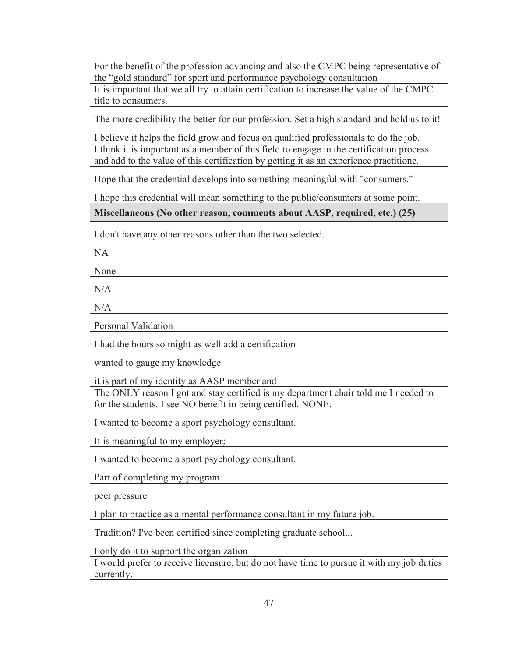For the benefit of the profession advancing and also the CMPC being representative of the "gold standard" for sport and performance psychology consultation It is important that we all try to attain certification to increase the value of the CMPC title to consumers.

The more credibility the better for our profession. Set a high standard and hold us to it!

I believe it helps the field grow and focus on qualified professionals to do the job. I think it is important as a member of this field to engage in the certification process and add to the value of this certification by getting it as an experience practitione.

Hope that the credential develops into something meaningful with "consumers."

I hope this credential will mean something to the public/consumers at some point.

**Miscellaneous (No other reason, comments about AASP, required, etc.) (25)** 

I don't have any other reasons other than the two selected.

NA

None

 $N/A$ 

N/A

Personal Validation

I had the hours so might as well add a certification

wanted to gauge my knowledge

it is part of my identity as AASP member and

The ONLY reason I got and stay certified is my department chair told me I needed to for the students. I see NO benefit in being certified. NONE.

I wanted to become a sport psychology consultant.

It is meaningful to my employer;

I wanted to become a sport psychology consultant.

Part of completing my program

peer pressure

I plan to practice as a mental performance consultant in my future job.

Tradition? I've been certified since completing graduate school...

I only do it to support the organization

I would prefer to receive licensure, but do not have time to pursue it with my job duties currently.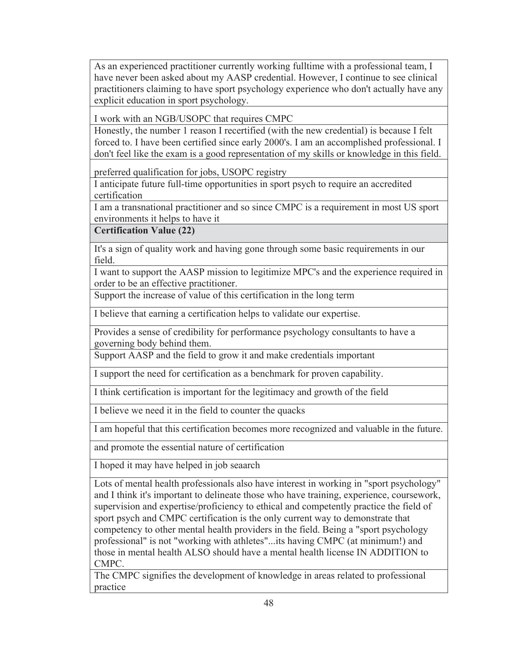As an experienced practitioner currently working fulltime with a professional team, I have never been asked about my AASP credential. However, I continue to see clinical practitioners claiming to have sport psychology experience who don't actually have any explicit education in sport psychology.

I work with an NGB/USOPC that requires CMPC

Honestly, the number 1 reason I recertified (with the new credential) is because I felt forced to. I have been certified since early 2000's. I am an accomplished professional. I don't feel like the exam is a good representation of my skills or knowledge in this field.

preferred qualification for jobs, USOPC registry

I anticipate future full-time opportunities in sport psych to require an accredited certification

I am a transnational practitioner and so since CMPC is a requirement in most US sport environments it helps to have it

**Certification Value (22)** 

It's a sign of quality work and having gone through some basic requirements in our field.

I want to support the AASP mission to legitimize MPC's and the experience required in order to be an effective practitioner.

Support the increase of value of this certification in the long term

I believe that earning a certification helps to validate our expertise.

Provides a sense of credibility for performance psychology consultants to have a governing body behind them.

Support AASP and the field to grow it and make credentials important

I support the need for certification as a benchmark for proven capability.

I think certification is important for the legitimacy and growth of the field

I believe we need it in the field to counter the quacks

I am hopeful that this certification becomes more recognized and valuable in the future.

and promote the essential nature of certification

I hoped it may have helped in job seaarch

Lots of mental health professionals also have interest in working in "sport psychology" and I think it's important to delineate those who have training, experience, coursework, supervision and expertise/proficiency to ethical and competently practice the field of sport psych and CMPC certification is the only current way to demonstrate that competency to other mental health providers in the field. Being a "sport psychology professional" is not "working with athletes"...its having CMPC (at minimum!) and those in mental health ALSO should have a mental health license IN ADDITION to CMPC.

The CMPC signifies the development of knowledge in areas related to professional practice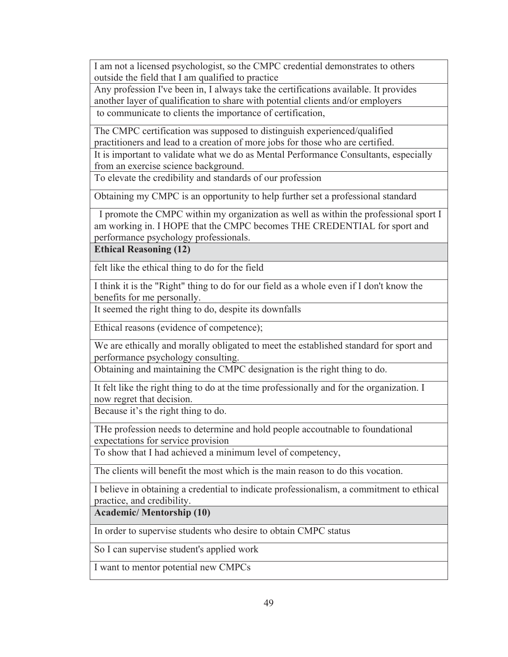I am not a licensed psychologist, so the CMPC credential demonstrates to others outside the field that I am qualified to practice

Any profession I've been in, I always take the certifications available. It provides another layer of qualification to share with potential clients and/or employers to communicate to clients the importance of certification,

The CMPC certification was supposed to distinguish experienced/qualified practitioners and lead to a creation of more jobs for those who are certified.

It is important to validate what we do as Mental Performance Consultants, especially from an exercise science background.

To elevate the credibility and standards of our profession

Obtaining my CMPC is an opportunity to help further set a professional standard

 I promote the CMPC within my organization as well as within the professional sport I am working in. I HOPE that the CMPC becomes THE CREDENTIAL for sport and performance psychology professionals.

**Ethical Reasoning (12)** 

felt like the ethical thing to do for the field

I think it is the "Right" thing to do for our field as a whole even if I don't know the benefits for me personally.

It seemed the right thing to do, despite its downfalls

Ethical reasons (evidence of competence);

We are ethically and morally obligated to meet the established standard for sport and performance psychology consulting.

Obtaining and maintaining the CMPC designation is the right thing to do.

It felt like the right thing to do at the time professionally and for the organization. I now regret that decision.

Because it's the right thing to do.

THe profession needs to determine and hold people accoutnable to foundational expectations for service provision

To show that I had achieved a minimum level of competency,

The clients will benefit the most which is the main reason to do this vocation.

I believe in obtaining a credential to indicate professionalism, a commitment to ethical practice, and credibility.

**Academic/ Mentorship (10)** 

In order to supervise students who desire to obtain CMPC status

So I can supervise student's applied work

I want to mentor potential new CMPCs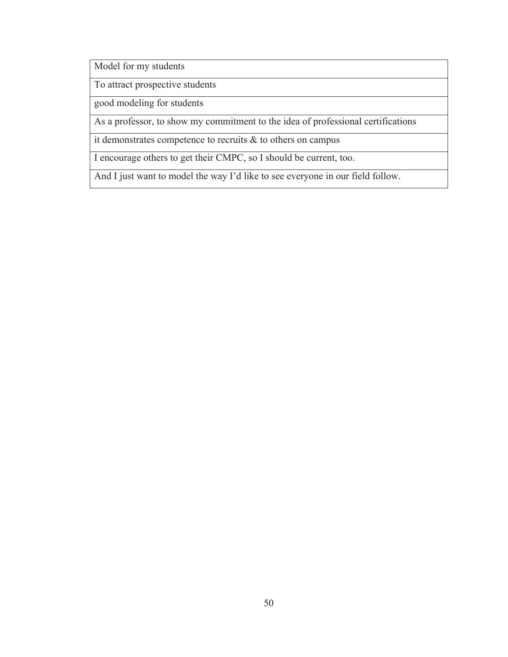Model for my students

To attract prospective students

good modeling for students

As a professor, to show my commitment to the idea of professional certifications

it demonstrates competence to recruits & to others on campus

I encourage others to get their CMPC, so I should be current, too.

And I just want to model the way I'd like to see everyone in our field follow.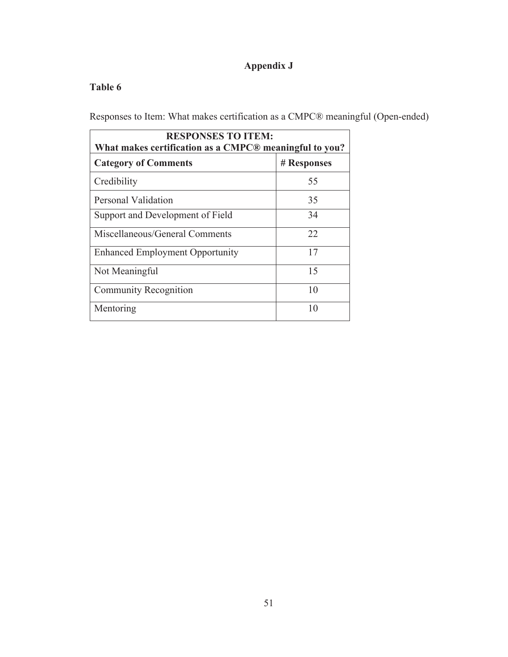# **Appendix J**

## **Table 6**

Responses to Item: What makes certification as a CMPC® meaningful (Open-ended)

| <b>RESPONSES TO ITEM:</b><br>What makes certification as a CMPC® meaningful to you? |             |  |
|-------------------------------------------------------------------------------------|-------------|--|
| <b>Category of Comments</b>                                                         | # Responses |  |
| Credibility                                                                         | 55          |  |
| Personal Validation                                                                 | 35          |  |
| Support and Development of Field                                                    | 34          |  |
| Miscellaneous/General Comments                                                      | 22          |  |
| <b>Enhanced Employment Opportunity</b>                                              | 17          |  |
| Not Meaningful                                                                      | 15          |  |
| <b>Community Recognition</b>                                                        | 10          |  |
| Mentoring                                                                           | 10          |  |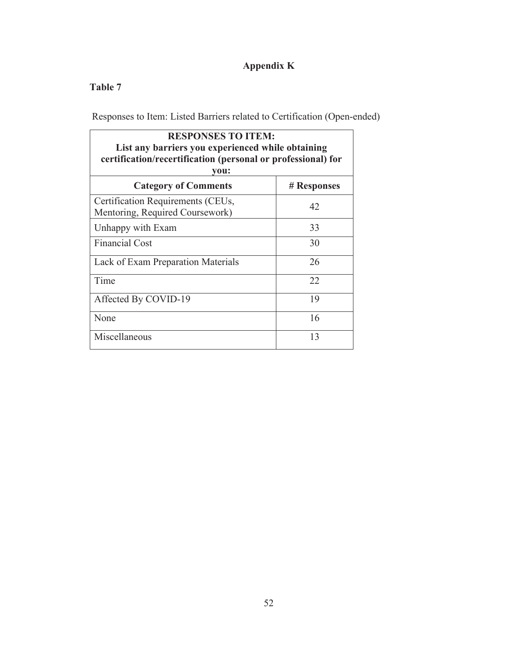# **Appendix K**

## **Table 7**

Responses to Item: Listed Barriers related to Certification (Open-ended)

| <b>RESPONSES TO ITEM:</b><br>List any barriers you experienced while obtaining<br>certification/recertification (personal or professional) for<br>vou: |             |  |
|--------------------------------------------------------------------------------------------------------------------------------------------------------|-------------|--|
| <b>Category of Comments</b>                                                                                                                            | # Responses |  |
| Certification Requirements (CEUs,<br>Mentoring, Required Coursework)                                                                                   | 42          |  |
| Unhappy with Exam                                                                                                                                      | 33          |  |
| <b>Financial Cost</b>                                                                                                                                  | 30          |  |
| Lack of Exam Preparation Materials                                                                                                                     | 26          |  |
| Time                                                                                                                                                   | 22          |  |
| Affected By COVID-19                                                                                                                                   | 19          |  |
| None                                                                                                                                                   | 16          |  |
| Miscellaneous                                                                                                                                          | 13          |  |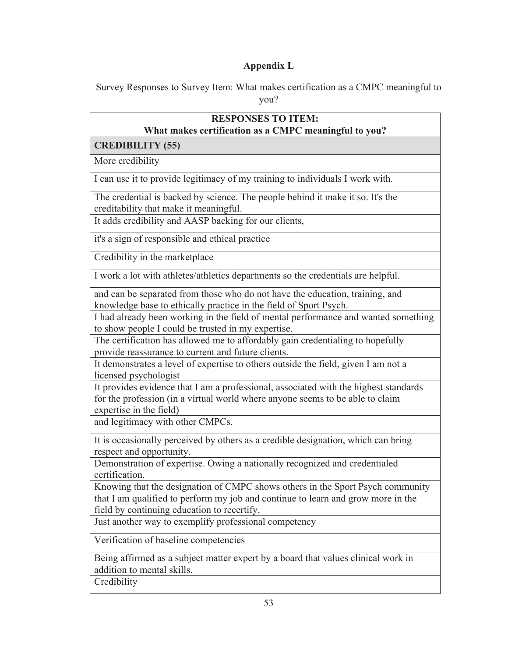# **Appendix L**

Survey Responses to Survey Item: What makes certification as a CMPC meaningful to you?

| <b>RESPONSES TO ITEM:</b>                                                                                                                                                                                         |
|-------------------------------------------------------------------------------------------------------------------------------------------------------------------------------------------------------------------|
| What makes certification as a CMPC meaningful to you?<br><b>CREDIBILITY (55)</b>                                                                                                                                  |
| More credibility                                                                                                                                                                                                  |
| I can use it to provide legitimacy of my training to individuals I work with.                                                                                                                                     |
| The credential is backed by science. The people behind it make it so. It's the<br>creditability that make it meaningful.                                                                                          |
| It adds credibility and AASP backing for our clients,                                                                                                                                                             |
| it's a sign of responsible and ethical practice                                                                                                                                                                   |
| Credibility in the marketplace                                                                                                                                                                                    |
| I work a lot with athletes/athletics departments so the credentials are helpful.                                                                                                                                  |
| and can be separated from those who do not have the education, training, and<br>knowledge base to ethically practice in the field of Sport Psych.                                                                 |
| I had already been working in the field of mental performance and wanted something<br>to show people I could be trusted in my expertise.                                                                          |
| The certification has allowed me to affordably gain credentialing to hopefully<br>provide reassurance to current and future clients.                                                                              |
| It demonstrates a level of expertise to others outside the field, given I am not a<br>licensed psychologist                                                                                                       |
| It provides evidence that I am a professional, associated with the highest standards<br>for the profession (in a virtual world where anyone seems to be able to claim<br>expertise in the field)                  |
| and legitimacy with other CMPCs.                                                                                                                                                                                  |
| It is occasionally perceived by others as a credible designation, which can bring<br>respect and opportunity.                                                                                                     |
| Demonstration of expertise. Owing a nationally recognized and credentialed<br>certification.                                                                                                                      |
| Knowing that the designation of CMPC shows others in the Sport Psych community<br>that I am qualified to perform my job and continue to learn and grow more in the<br>field by continuing education to recertify. |
| Just another way to exemplify professional competency                                                                                                                                                             |
| Verification of baseline competencies                                                                                                                                                                             |
| Being affirmed as a subject matter expert by a board that values clinical work in<br>addition to mental skills.                                                                                                   |
| Credibility                                                                                                                                                                                                       |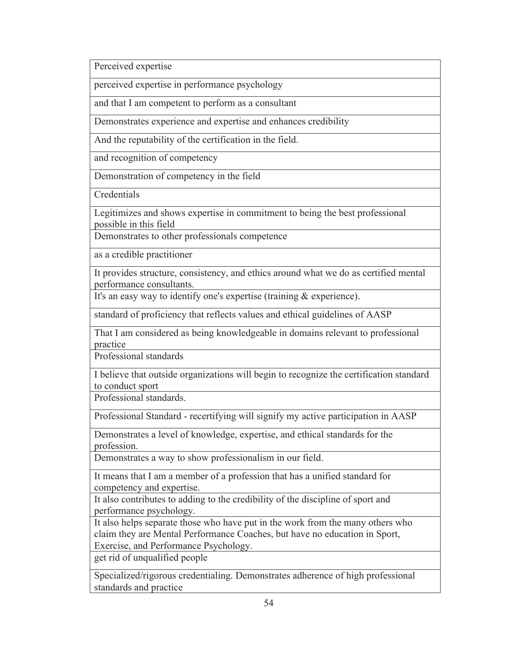Perceived expertise

perceived expertise in performance psychology

and that I am competent to perform as a consultant

Demonstrates experience and expertise and enhances credibility

And the reputability of the certification in the field.

and recognition of competency

Demonstration of competency in the field

**Credentials** 

Legitimizes and shows expertise in commitment to being the best professional possible in this field

Demonstrates to other professionals competence

as a credible practitioner

It provides structure, consistency, and ethics around what we do as certified mental performance consultants.

It's an easy way to identify one's expertise (training & experience).

standard of proficiency that reflects values and ethical guidelines of AASP

That I am considered as being knowledgeable in domains relevant to professional practice

Professional standards

I believe that outside organizations will begin to recognize the certification standard to conduct sport

Professional standards.

Professional Standard - recertifying will signify my active participation in AASP

Demonstrates a level of knowledge, expertise, and ethical standards for the profession.

Demonstrates a way to show professionalism in our field.

It means that I am a member of a profession that has a unified standard for competency and expertise.

It also contributes to adding to the credibility of the discipline of sport and performance psychology.

It also helps separate those who have put in the work from the many others who claim they are Mental Performance Coaches, but have no education in Sport, Exercise, and Performance Psychology.

get rid of unqualified people

Specialized/rigorous credentialing. Demonstrates adherence of high professional standards and practice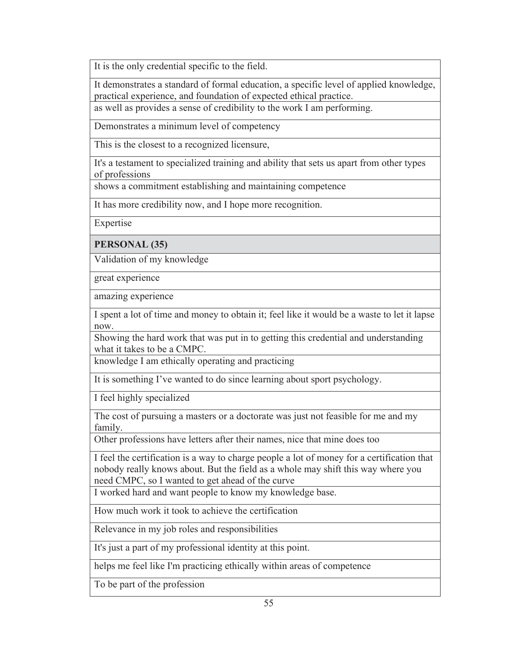It is the only credential specific to the field.

It demonstrates a standard of formal education, a specific level of applied knowledge, practical experience, and foundation of expected ethical practice.

as well as provides a sense of credibility to the work I am performing.

Demonstrates a minimum level of competency

This is the closest to a recognized licensure,

It's a testament to specialized training and ability that sets us apart from other types of professions

shows a commitment establishing and maintaining competence

It has more credibility now, and I hope more recognition.

Expertise

**PERSONAL (35)** 

Validation of my knowledge

great experience

amazing experience

I spent a lot of time and money to obtain it; feel like it would be a waste to let it lapse now.

Showing the hard work that was put in to getting this credential and understanding what it takes to be a CMPC.

knowledge I am ethically operating and practicing

It is something I've wanted to do since learning about sport psychology.

I feel highly specialized

The cost of pursuing a masters or a doctorate was just not feasible for me and my family.

Other professions have letters after their names, nice that mine does too

I feel the certification is a way to charge people a lot of money for a certification that nobody really knows about. But the field as a whole may shift this way where you need CMPC, so I wanted to get ahead of the curve

I worked hard and want people to know my knowledge base.

How much work it took to achieve the certification

Relevance in my job roles and responsibilities

It's just a part of my professional identity at this point.

helps me feel like I'm practicing ethically within areas of competence

To be part of the profession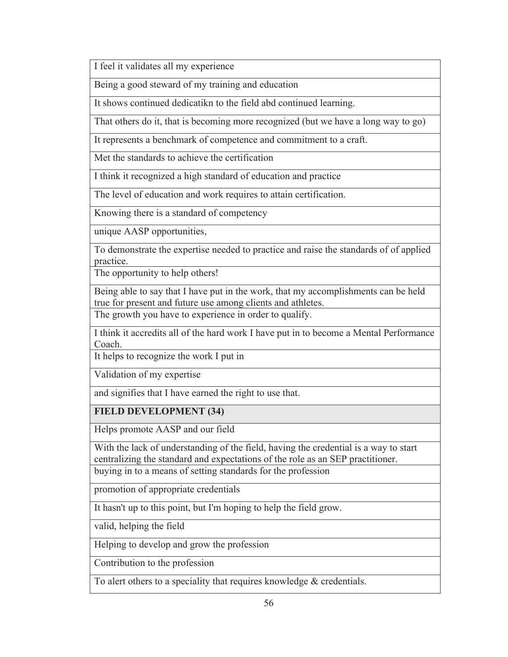I feel it validates all my experience

Being a good steward of my training and education

It shows continued dedicatikn to the field abd continued learning.

That others do it, that is becoming more recognized (but we have a long way to go)

It represents a benchmark of competence and commitment to a craft.

Met the standards to achieve the certification

I think it recognized a high standard of education and practice

The level of education and work requires to attain certification.

Knowing there is a standard of competency

unique AASP opportunities,

To demonstrate the expertise needed to practice and raise the standards of of applied practice.

The opportunity to help others!

Being able to say that I have put in the work, that my accomplishments can be held true for present and future use among clients and athletes.

The growth you have to experience in order to qualify.

I think it accredits all of the hard work I have put in to become a Mental Performance Coach.

It helps to recognize the work I put in

Validation of my expertise

and signifies that I have earned the right to use that.

## **FIELD DEVELOPMENT (34)**

Helps promote AASP and our field

With the lack of understanding of the field, having the credential is a way to start centralizing the standard and expectations of the role as an SEP practitioner. buying in to a means of setting standards for the profession

promotion of appropriate credentials

It hasn't up to this point, but I'm hoping to help the field grow.

valid, helping the field

Helping to develop and grow the profession

Contribution to the profession

To alert others to a speciality that requires knowledge & credentials.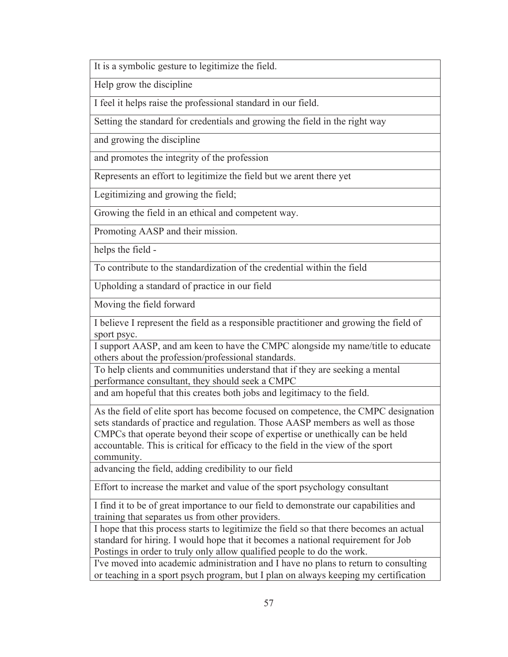It is a symbolic gesture to legitimize the field.

Help grow the discipline

I feel it helps raise the professional standard in our field.

Setting the standard for credentials and growing the field in the right way

and growing the discipline

and promotes the integrity of the profession

Represents an effort to legitimize the field but we arent there yet

Legitimizing and growing the field;

Growing the field in an ethical and competent way.

Promoting AASP and their mission.

helps the field -

To contribute to the standardization of the credential within the field

Upholding a standard of practice in our field

Moving the field forward

I believe I represent the field as a responsible practitioner and growing the field of sport psyc.

I support AASP, and am keen to have the CMPC alongside my name/title to educate others about the profession/professional standards.

To help clients and communities understand that if they are seeking a mental performance consultant, they should seek a CMPC

and am hopeful that this creates both jobs and legitimacy to the field.

As the field of elite sport has become focused on competence, the CMPC designation sets standards of practice and regulation. Those AASP members as well as those CMPCs that operate beyond their scope of expertise or unethically can be held accountable. This is critical for efficacy to the field in the view of the sport community.

advancing the field, adding credibility to our field

Effort to increase the market and value of the sport psychology consultant

I find it to be of great importance to our field to demonstrate our capabilities and training that separates us from other providers.

I hope that this process starts to legitimize the field so that there becomes an actual standard for hiring. I would hope that it becomes a national requirement for Job Postings in order to truly only allow qualified people to do the work.

I've moved into academic administration and I have no plans to return to consulting or teaching in a sport psych program, but I plan on always keeping my certification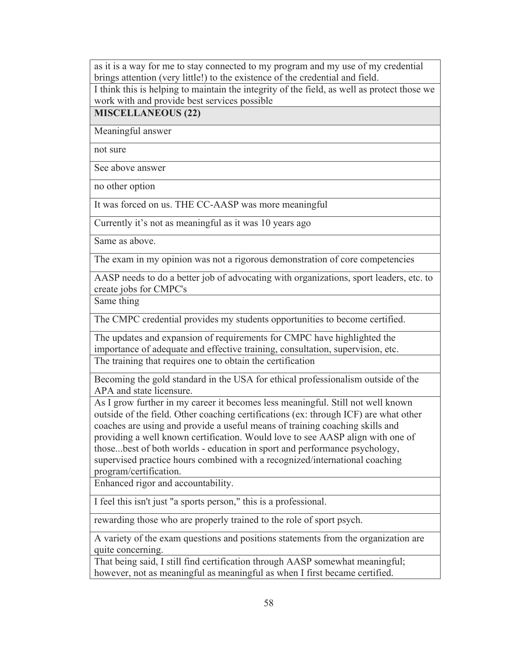as it is a way for me to stay connected to my program and my use of my credential brings attention (very little!) to the existence of the credential and field.

I think this is helping to maintain the integrity of the field, as well as protect those we work with and provide best services possible

#### **MISCELLANEOUS (22)**

Meaningful answer

not sure

See above answer

no other option

It was forced on us. THE CC-AASP was more meaningful

Currently it's not as meaningful as it was 10 years ago

Same as above.

The exam in my opinion was not a rigorous demonstration of core competencies

AASP needs to do a better job of advocating with organizations, sport leaders, etc. to create jobs for CMPC's

Same thing

The CMPC credential provides my students opportunities to become certified.

The updates and expansion of requirements for CMPC have highlighted the importance of adequate and effective training, consultation, supervision, etc. The training that requires one to obtain the certification

Becoming the gold standard in the USA for ethical professionalism outside of the APA and state licensure.

As I grow further in my career it becomes less meaningful. Still not well known outside of the field. Other coaching certifications (ex: through ICF) are what other coaches are using and provide a useful means of training coaching skills and providing a well known certification. Would love to see AASP align with one of those...best of both worlds - education in sport and performance psychology, supervised practice hours combined with a recognized/international coaching program/certification.

Enhanced rigor and accountability.

I feel this isn't just "a sports person," this is a professional.

rewarding those who are properly trained to the role of sport psych.

A variety of the exam questions and positions statements from the organization are quite concerning.

That being said, I still find certification through AASP somewhat meaningful; however, not as meaningful as meaningful as when I first became certified.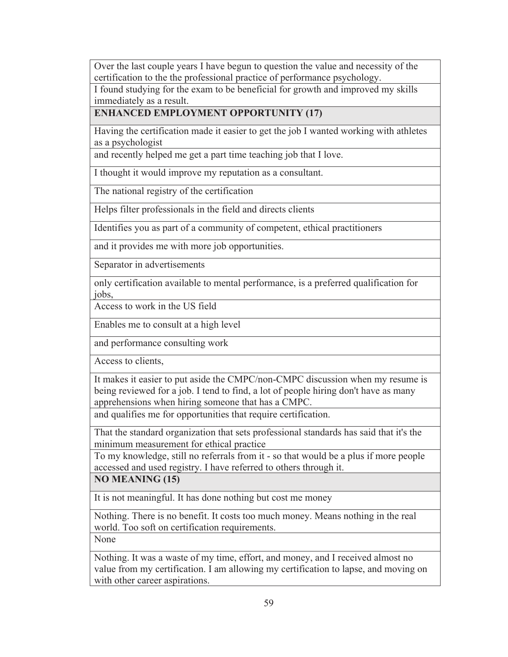Over the last couple years I have begun to question the value and necessity of the certification to the the professional practice of performance psychology.

I found studying for the exam to be beneficial for growth and improved my skills immediately as a result.

**ENHANCED EMPLOYMENT OPPORTUNITY (17)** 

Having the certification made it easier to get the job I wanted working with athletes as a psychologist

and recently helped me get a part time teaching job that I love.

I thought it would improve my reputation as a consultant.

The national registry of the certification

Helps filter professionals in the field and directs clients

Identifies you as part of a community of competent, ethical practitioners

and it provides me with more job opportunities.

Separator in advertisements

only certification available to mental performance, is a preferred qualification for jobs,

Access to work in the US field

Enables me to consult at a high level

and performance consulting work

Access to clients,

It makes it easier to put aside the CMPC/non-CMPC discussion when my resume is being reviewed for a job. I tend to find, a lot of people hiring don't have as many apprehensions when hiring someone that has a CMPC.

and qualifies me for opportunities that require certification.

That the standard organization that sets professional standards has said that it's the minimum measurement for ethical practice

To my knowledge, still no referrals from it - so that would be a plus if more people accessed and used registry. I have referred to others through it.

**NO MEANING (15)** 

It is not meaningful. It has done nothing but cost me money

Nothing. There is no benefit. It costs too much money. Means nothing in the real world. Too soft on certification requirements.

None

Nothing. It was a waste of my time, effort, and money, and I received almost no value from my certification. I am allowing my certification to lapse, and moving on with other career aspirations.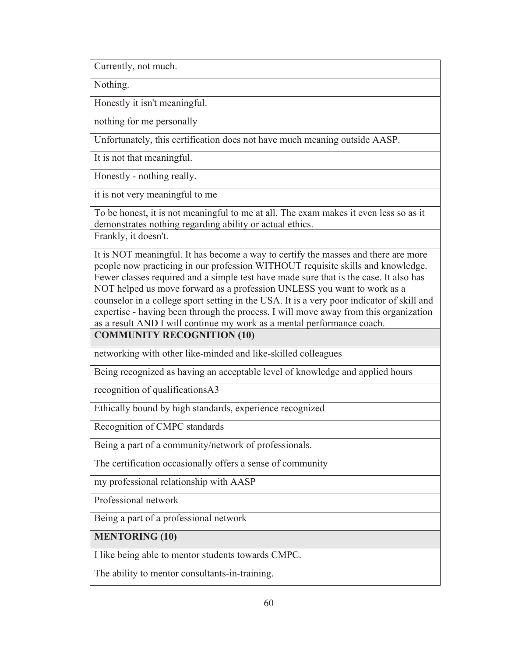Currently, not much.

Nothing.

Honestly it isn't meaningful.

nothing for me personally

Unfortunately, this certification does not have much meaning outside AASP.

It is not that meaningful.

Honestly - nothing really.

it is not very meaningful to me

To be honest, it is not meaningful to me at all. The exam makes it even less so as it demonstrates nothing regarding ability or actual ethics.

Frankly, it doesn't.

It is NOT meaningful. It has become a way to certify the masses and there are more people now practicing in our profession WITHOUT requisite skills and knowledge. Fewer classes required and a simple test have made sure that is the case. It also has NOT helped us move forward as a profession UNLESS you want to work as a counselor in a college sport setting in the USA. It is a very poor indicator of skill and expertise - having been through the process. I will move away from this organization as a result AND I will continue my work as a mental performance coach.

**COMMUNITY RECOGNITION (10)** 

networking with other like-minded and like-skilled colleagues

Being recognized as having an acceptable level of knowledge and applied hours

recognition of qualificationsA3

Ethically bound by high standards, experience recognized

Recognition of CMPC standards

Being a part of a community/network of professionals.

The certification occasionally offers a sense of community

my professional relationship with AASP

Professional network

Being a part of a professional network

**MENTORING (10)** 

I like being able to mentor students towards CMPC.

The ability to mentor consultants-in-training.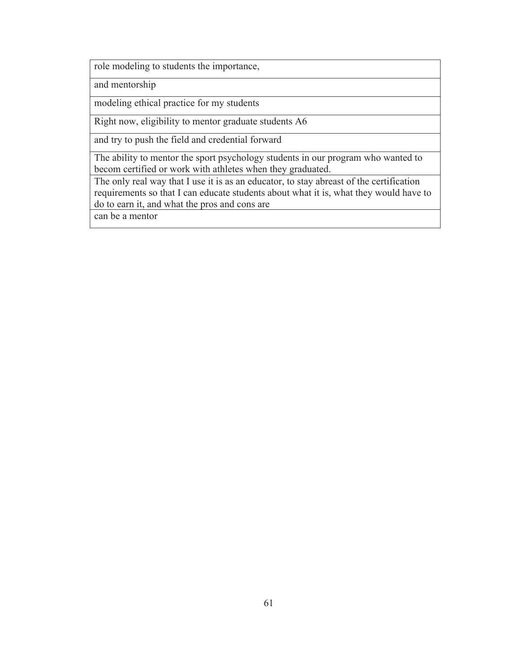role modeling to students the importance,

and mentorship

modeling ethical practice for my students

Right now, eligibility to mentor graduate students A6

and try to push the field and credential forward

The ability to mentor the sport psychology students in our program who wanted to becom certified or work with athletes when they graduated.

The only real way that I use it is as an educator, to stay abreast of the certification requirements so that I can educate students about what it is, what they would have to do to earn it, and what the pros and cons are

can be a mentor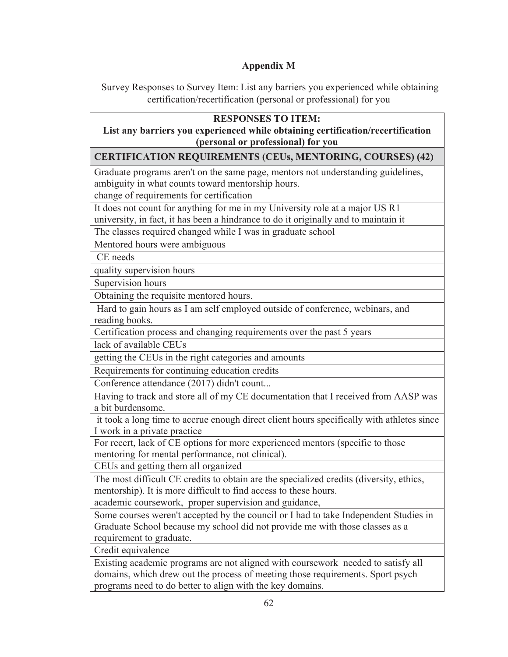## **Appendix M**

Survey Responses to Survey Item: List any barriers you experienced while obtaining certification/recertification (personal or professional) for you

| <b>RESPONSES TO ITEM:</b>                                                                                                                                                                        |
|--------------------------------------------------------------------------------------------------------------------------------------------------------------------------------------------------|
| List any barriers you experienced while obtaining certification/recertification                                                                                                                  |
| (personal or professional) for you                                                                                                                                                               |
| <b>CERTIFICATION REQUIREMENTS (CEUs, MENTORING, COURSES) (42)</b>                                                                                                                                |
| Graduate programs aren't on the same page, mentors not understanding guidelines,<br>ambiguity in what counts toward mentorship hours.                                                            |
| change of requirements for certification                                                                                                                                                         |
| It does not count for anything for me in my University role at a major US R1<br>university, in fact, it has been a hindrance to do it originally and to maintain it                              |
| The classes required changed while I was in graduate school                                                                                                                                      |
| Mentored hours were ambiguous                                                                                                                                                                    |
| CE needs                                                                                                                                                                                         |
| quality supervision hours                                                                                                                                                                        |
| Supervision hours                                                                                                                                                                                |
| Obtaining the requisite mentored hours.                                                                                                                                                          |
| Hard to gain hours as I am self employed outside of conference, webinars, and<br>reading books.                                                                                                  |
| Certification process and changing requirements over the past 5 years                                                                                                                            |
| lack of available CEUs                                                                                                                                                                           |
| getting the CEUs in the right categories and amounts                                                                                                                                             |
| Requirements for continuing education credits                                                                                                                                                    |
| Conference attendance (2017) didn't count                                                                                                                                                        |
| Having to track and store all of my CE documentation that I received from AASP was<br>a bit burdensome.                                                                                          |
| it took a long time to accrue enough direct client hours specifically with athletes since<br>I work in a private practice                                                                        |
| For recert, lack of CE options for more experienced mentors (specific to those<br>mentoring for mental performance, not clinical).                                                               |
| CEUs and getting them all organized                                                                                                                                                              |
| The most difficult CE credits to obtain are the specialized credits (diversity, ethics,<br>mentorship). It is more difficult to find access to these hours.                                      |
| academic coursework, proper supervision and guidance,                                                                                                                                            |
| Some courses weren't accepted by the council or I had to take Independent Studies in<br>Graduate School because my school did not provide me with those classes as a<br>requirement to graduate. |
| Credit equivalence                                                                                                                                                                               |
| Existing academic programs are not aligned with coursework needed to satisfy all                                                                                                                 |

domains, which drew out the process of meeting those requirements. Sport psych programs need to do better to align with the key domains.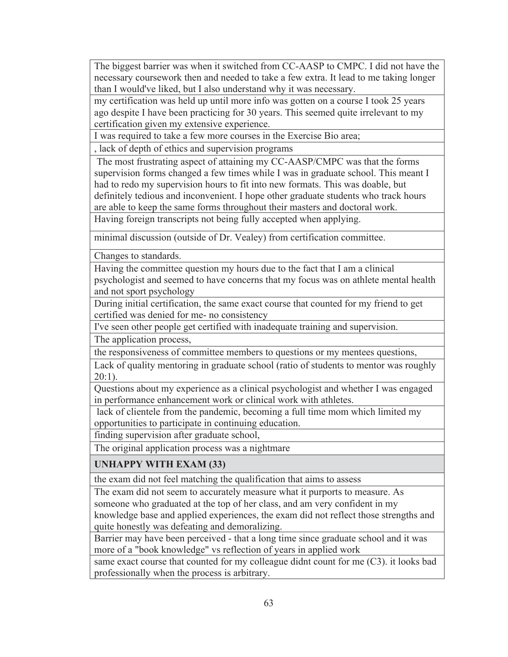The biggest barrier was when it switched from CC-AASP to CMPC. I did not have the necessary coursework then and needed to take a few extra. It lead to me taking longer than I would've liked, but I also understand why it was necessary.

my certification was held up until more info was gotten on a course I took 25 years ago despite I have been practicing for 30 years. This seemed quite irrelevant to my certification given my extensive experience.

I was required to take a few more courses in the Exercise Bio area;

, lack of depth of ethics and supervision programs

 The most frustrating aspect of attaining my CC-AASP/CMPC was that the forms supervision forms changed a few times while I was in graduate school. This meant I had to redo my supervision hours to fit into new formats. This was doable, but definitely tedious and inconvenient. I hope other graduate students who track hours are able to keep the same forms throughout their masters and doctoral work.

Having foreign transcripts not being fully accepted when applying.

minimal discussion (outside of Dr. Vealey) from certification committee.

Changes to standards.

Having the committee question my hours due to the fact that I am a clinical psychologist and seemed to have concerns that my focus was on athlete mental health and not sport psychology

During initial certification, the same exact course that counted for my friend to get certified was denied for me- no consistency

I've seen other people get certified with inadequate training and supervision.

The application process,

the responsiveness of committee members to questions or my mentees questions,

Lack of quality mentoring in graduate school (ratio of students to mentor was roughly 20:1).

Questions about my experience as a clinical psychologist and whether I was engaged in performance enhancement work or clinical work with athletes.

 lack of clientele from the pandemic, becoming a full time mom which limited my opportunities to participate in continuing education.

finding supervision after graduate school,

The original application process was a nightmare

**UNHAPPY WITH EXAM (33)** 

the exam did not feel matching the qualification that aims to assess

The exam did not seem to accurately measure what it purports to measure. As someone who graduated at the top of her class, and am very confident in my knowledge base and applied experiences, the exam did not reflect those strengths and quite honestly was defeating and demoralizing.

Barrier may have been perceived - that a long time since graduate school and it was more of a "book knowledge" vs reflection of years in applied work

same exact course that counted for my colleague didnt count for me (C3). it looks bad professionally when the process is arbitrary.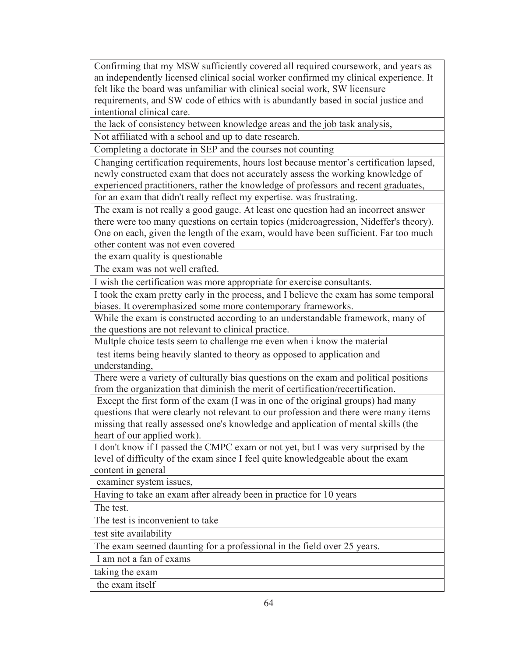Confirming that my MSW sufficiently covered all required coursework, and years as an independently licensed clinical social worker confirmed my clinical experience. It felt like the board was unfamiliar with clinical social work, SW licensure requirements, and SW code of ethics with is abundantly based in social justice and intentional clinical care.

the lack of consistency between knowledge areas and the job task analysis,

Not affiliated with a school and up to date research.

Completing a doctorate in SEP and the courses not counting

Changing certification requirements, hours lost because mentor's certification lapsed, newly constructed exam that does not accurately assess the working knowledge of experienced practitioners, rather the knowledge of professors and recent graduates, for an exam that didn't really reflect my expertise. was frustrating.

The exam is not really a good gauge. At least one question had an incorrect answer there were too many questions on certain topics (midcroagression, Nideffer's theory). One on each, given the length of the exam, would have been sufficient. Far too much other content was not even covered

the exam quality is questionable

The exam was not well crafted.

I wish the certification was more appropriate for exercise consultants.

I took the exam pretty early in the process, and I believe the exam has some temporal biases. It overemphasized some more contemporary frameworks.

While the exam is constructed according to an understandable framework, many of the questions are not relevant to clinical practice.

Multple choice tests seem to challenge me even when i know the material

 test items being heavily slanted to theory as opposed to application and understanding,

There were a variety of culturally bias questions on the exam and political positions from the organization that diminish the merit of certification/recertification.

 Except the first form of the exam (I was in one of the original groups) had many questions that were clearly not relevant to our profession and there were many items missing that really assessed one's knowledge and application of mental skills (the heart of our applied work).

I don't know if I passed the CMPC exam or not yet, but I was very surprised by the level of difficulty of the exam since I feel quite knowledgeable about the exam content in general

examiner system issues,

Having to take an exam after already been in practice for 10 years

The test.

The test is inconvenient to take

test site availability

The exam seemed daunting for a professional in the field over 25 years.

I am not a fan of exams

taking the exam

the exam itself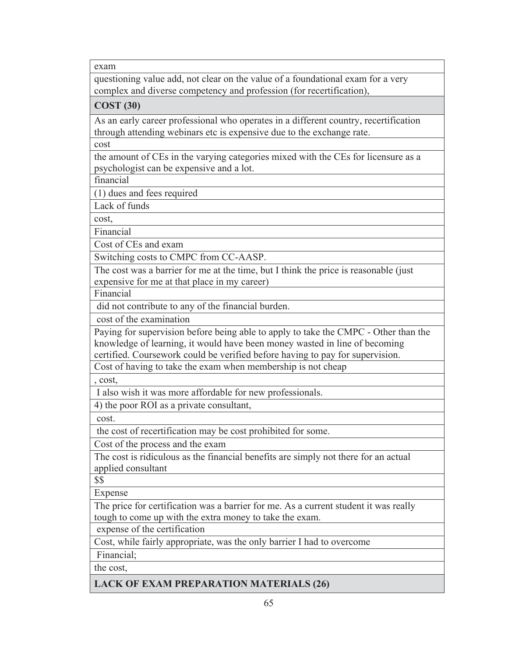exam

questioning value add, not clear on the value of a foundational exam for a very complex and diverse competency and profession (for recertification),

**COST (30)** 

As an early career professional who operates in a different country, recertification through attending webinars etc is expensive due to the exchange rate.

cost

the amount of CEs in the varying categories mixed with the CEs for licensure as a psychologist can be expensive and a lot.

financial

(1) dues and fees required

Lack of funds

cost,

Financial

Cost of CEs and exam

Switching costs to CMPC from CC-AASP.

The cost was a barrier for me at the time, but I think the price is reasonable (just expensive for me at that place in my career)

Financial

did not contribute to any of the financial burden.

cost of the examination

Paying for supervision before being able to apply to take the CMPC - Other than the knowledge of learning, it would have been money wasted in line of becoming

certified. Coursework could be verified before having to pay for supervision.

Cost of having to take the exam when membership is not cheap

, cost,

I also wish it was more affordable for new professionals.

4) the poor ROI as a private consultant,

cost.

the cost of recertification may be cost prohibited for some.

Cost of the process and the exam

The cost is ridiculous as the financial benefits are simply not there for an actual applied consultant

\$\$

Expense

The price for certification was a barrier for me. As a current student it was really tough to come up with the extra money to take the exam.

expense of the certification

Cost, while fairly appropriate, was the only barrier I had to overcome

Financial;

the cost,

**LACK OF EXAM PREPARATION MATERIALS (26)**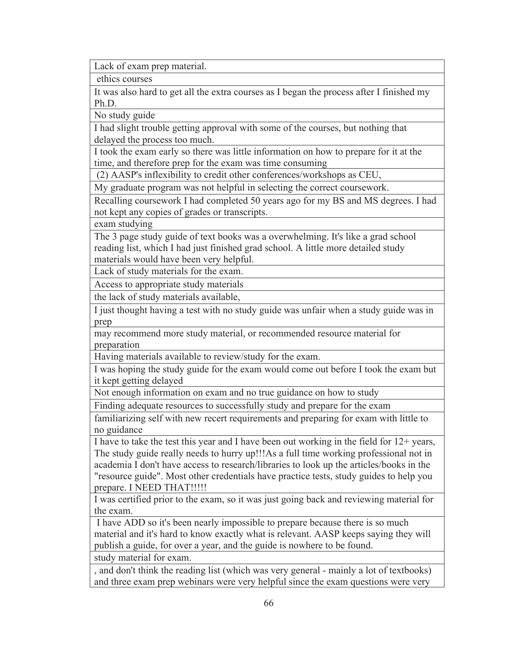Lack of exam prep material.

ethics courses

It was also hard to get all the extra courses as I began the process after I finished my Ph.D.

No study guide

I had slight trouble getting approval with some of the courses, but nothing that delayed the process too much.

I took the exam early so there was little information on how to prepare for it at the time, and therefore prep for the exam was time consuming

(2) AASP's inflexibility to credit other conferences/workshops as CEU,

My graduate program was not helpful in selecting the correct coursework.

Recalling coursework I had completed 50 years ago for my BS and MS degrees. I had not kept any copies of grades or transcripts.

exam studying

The 3 page study guide of text books was a overwhelming. It's like a grad school reading list, which I had just finished grad school. A little more detailed study materials would have been very helpful.

Lack of study materials for the exam.

Access to appropriate study materials

the lack of study materials available,

I just thought having a test with no study guide was unfair when a study guide was in prep

may recommend more study material, or recommended resource material for preparation

Having materials available to review/study for the exam.

I was hoping the study guide for the exam would come out before I took the exam but it kept getting delayed

Not enough information on exam and no true guidance on how to study

Finding adequate resources to successfully study and prepare for the exam

familiarizing self with new recert requirements and preparing for exam with little to no guidance

I have to take the test this year and I have been out working in the field for 12+ years, The study guide really needs to hurry up!!!As a full time working professional not in academia I don't have access to research/libraries to look up the articles/books in the "resource guide". Most other credentials have practice tests, study guides to help you prepare. I NEED THAT!!!!!

I was certified prior to the exam, so it was just going back and reviewing material for the exam.

 I have ADD so it's been nearly impossible to prepare because there is so much material and it's hard to know exactly what is relevant. AASP keeps saying they will publish a guide, for over a year, and the guide is nowhere to be found. study material for exam.

, and don't think the reading list (which was very general - mainly a lot of textbooks) and three exam prep webinars were very helpful since the exam questions were very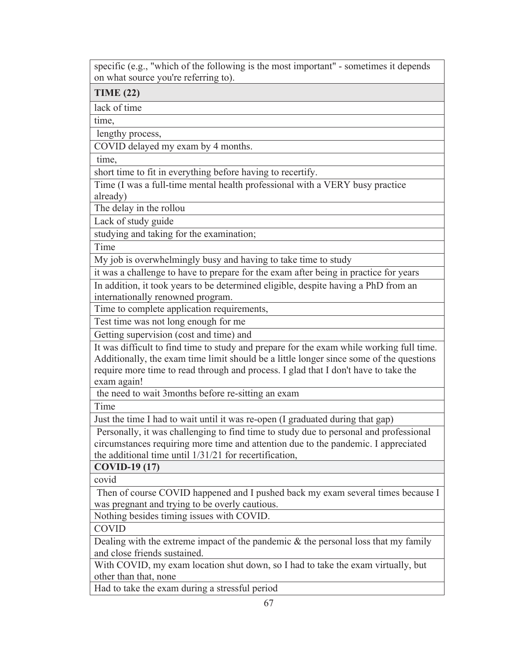specific (e.g., "which of the following is the most important" - sometimes it depends on what source you're referring to).

**TIME (22)** 

lack of time

time,

lengthy process,

COVID delayed my exam by 4 months.

time,

short time to fit in everything before having to recertify.

Time (I was a full-time mental health professional with a VERY busy practice already)

The delay in the rollou

Lack of study guide

studying and taking for the examination;

Time

My job is overwhelmingly busy and having to take time to study

it was a challenge to have to prepare for the exam after being in practice for years

In addition, it took years to be determined eligible, despite having a PhD from an internationally renowned program.

Time to complete application requirements,

Test time was not long enough for me

Getting supervision (cost and time) and

It was difficult to find time to study and prepare for the exam while working full time. Additionally, the exam time limit should be a little longer since some of the questions require more time to read through and process. I glad that I don't have to take the exam again!

the need to wait 3months before re-sitting an exam

Time

Just the time I had to wait until it was re-open (I graduated during that gap)

 Personally, it was challenging to find time to study due to personal and professional circumstances requiring more time and attention due to the pandemic. I appreciated the additional time until 1/31/21 for recertification,

**COVID-19 (17)** 

covid

 Then of course COVID happened and I pushed back my exam several times because I was pregnant and trying to be overly cautious.

Nothing besides timing issues with COVID.

COVID

Dealing with the extreme impact of the pandemic & the personal loss that my family and close friends sustained.

With COVID, my exam location shut down, so I had to take the exam virtually, but other than that, none

Had to take the exam during a stressful period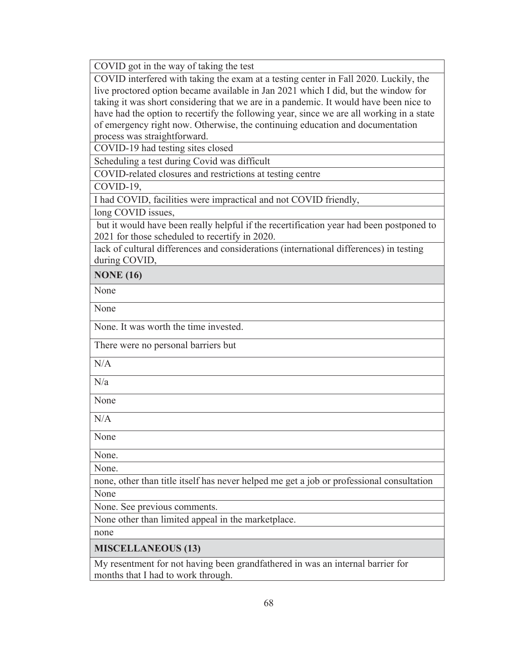COVID got in the way of taking the test

COVID interfered with taking the exam at a testing center in Fall 2020. Luckily, the live proctored option became available in Jan 2021 which I did, but the window for taking it was short considering that we are in a pandemic. It would have been nice to have had the option to recertify the following year, since we are all working in a state of emergency right now. Otherwise, the continuing education and documentation process was straightforward.

COVID-19 had testing sites closed

Scheduling a test during Covid was difficult

COVID-related closures and restrictions at testing centre

COVID-19,

I had COVID, facilities were impractical and not COVID friendly,

long COVID issues,

 but it would have been really helpful if the recertification year had been postponed to 2021 for those scheduled to recertify in 2020.

lack of cultural differences and considerations (international differences) in testing during COVID,

**NONE (16)** 

None

None

None. It was worth the time invested.

There were no personal barriers but

N/A

 $N/a$ 

None

N/A

None

None.

None.

none, other than title itself has never helped me get a job or professional consultation None

None. See previous comments.

None other than limited appeal in the marketplace.

none

**MISCELLANEOUS (13)** 

My resentment for not having been grandfathered in was an internal barrier for months that I had to work through.